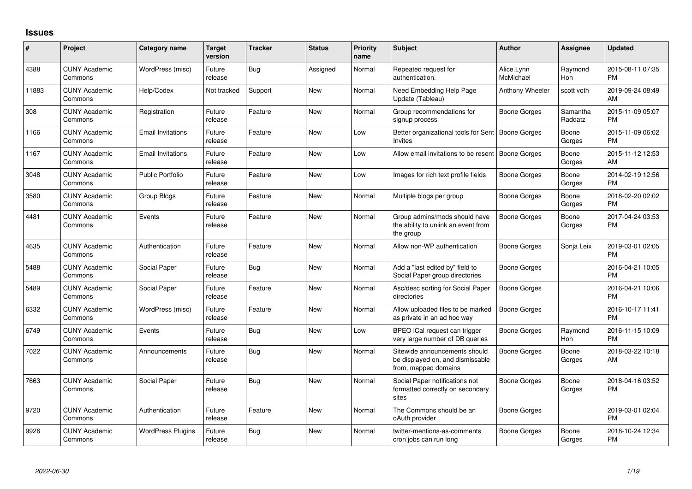## **Issues**

| $\#$  | Project                         | <b>Category name</b>     | <b>Target</b><br>version | <b>Tracker</b> | <b>Status</b> | Priority<br>name | <b>Subject</b>                                                                            | <b>Author</b>           | Assignee            | <b>Updated</b>                |
|-------|---------------------------------|--------------------------|--------------------------|----------------|---------------|------------------|-------------------------------------------------------------------------------------------|-------------------------|---------------------|-------------------------------|
| 4388  | <b>CUNY Academic</b><br>Commons | WordPress (misc)         | Future<br>release        | Bug            | Assigned      | Normal           | Repeated request for<br>authentication.                                                   | Alice.Lynn<br>McMichael | Raymond<br>Hoh      | 2015-08-11 07:35<br><b>PM</b> |
| 11883 | <b>CUNY Academic</b><br>Commons | Help/Codex               | Not tracked              | Support        | New           | Normal           | Need Embedding Help Page<br>Update (Tableau)                                              | Anthony Wheeler         | scott voth          | 2019-09-24 08:49<br>AM        |
| 308   | <b>CUNY Academic</b><br>Commons | Registration             | Future<br>release        | Feature        | New           | Normal           | Group recommendations for<br>signup process                                               | Boone Gorges            | Samantha<br>Raddatz | 2015-11-09 05:07<br><b>PM</b> |
| 1166  | <b>CUNY Academic</b><br>Commons | <b>Email Invitations</b> | Future<br>release        | Feature        | New           | Low              | Better organizational tools for Sent   Boone Gorges<br><b>Invites</b>                     |                         | Boone<br>Gorges     | 2015-11-09 06:02<br><b>PM</b> |
| 1167  | <b>CUNY Academic</b><br>Commons | <b>Email Invitations</b> | Future<br>release        | Feature        | New           | Low              | Allow email invitations to be resent   Boone Gorges                                       |                         | Boone<br>Gorges     | 2015-11-12 12:53<br>AM        |
| 3048  | <b>CUNY Academic</b><br>Commons | <b>Public Portfolio</b>  | Future<br>release        | Feature        | New           | Low              | Images for rich text profile fields                                                       | Boone Gorges            | Boone<br>Gorges     | 2014-02-19 12:56<br><b>PM</b> |
| 3580  | <b>CUNY Academic</b><br>Commons | Group Blogs              | Future<br>release        | Feature        | <b>New</b>    | Normal           | Multiple blogs per group                                                                  | Boone Gorges            | Boone<br>Gorges     | 2018-02-20 02:02<br><b>PM</b> |
| 4481  | <b>CUNY Academic</b><br>Commons | Events                   | Future<br>release        | Feature        | <b>New</b>    | Normal           | Group admins/mods should have<br>the ability to unlink an event from<br>the group         | <b>Boone Gorges</b>     | Boone<br>Gorges     | 2017-04-24 03:53<br><b>PM</b> |
| 4635  | <b>CUNY Academic</b><br>Commons | Authentication           | Future<br>release        | Feature        | New           | Normal           | Allow non-WP authentication                                                               | Boone Gorges            | Sonja Leix          | 2019-03-01 02:05<br><b>PM</b> |
| 5488  | <b>CUNY Academic</b><br>Commons | Social Paper             | Future<br>release        | Bug            | <b>New</b>    | Normal           | Add a "last edited by" field to<br>Social Paper group directories                         | <b>Boone Gorges</b>     |                     | 2016-04-21 10:05<br><b>PM</b> |
| 5489  | <b>CUNY Academic</b><br>Commons | Social Paper             | Future<br>release        | Feature        | <b>New</b>    | Normal           | Asc/desc sorting for Social Paper<br>directories                                          | Boone Gorges            |                     | 2016-04-21 10:06<br><b>PM</b> |
| 6332  | <b>CUNY Academic</b><br>Commons | WordPress (misc)         | Future<br>release        | Feature        | <b>New</b>    | Normal           | Allow uploaded files to be marked<br>as private in an ad hoc way                          | <b>Boone Gorges</b>     |                     | 2016-10-17 11:41<br><b>PM</b> |
| 6749  | <b>CUNY Academic</b><br>Commons | Events                   | Future<br>release        | Bug            | <b>New</b>    | Low              | BPEO iCal request can trigger<br>very large number of DB queries                          | <b>Boone Gorges</b>     | Raymond<br>Hoh      | 2016-11-15 10:09<br><b>PM</b> |
| 7022  | <b>CUNY Academic</b><br>Commons | Announcements            | Future<br>release        | Bug            | <b>New</b>    | Normal           | Sitewide announcements should<br>be displayed on, and dismissable<br>from, mapped domains | <b>Boone Gorges</b>     | Boone<br>Gorges     | 2018-03-22 10:18<br>AM        |
| 7663  | <b>CUNY Academic</b><br>Commons | Social Paper             | Future<br>release        | Bug            | New           | Normal           | Social Paper notifications not<br>formatted correctly on secondary<br>sites               | Boone Gorges            | Boone<br>Gorges     | 2018-04-16 03:52<br><b>PM</b> |
| 9720  | <b>CUNY Academic</b><br>Commons | Authentication           | Future<br>release        | Feature        | <b>New</b>    | Normal           | The Commons should be an<br>oAuth provider                                                | Boone Gorges            |                     | 2019-03-01 02:04<br><b>PM</b> |
| 9926  | <b>CUNY Academic</b><br>Commons | <b>WordPress Plugins</b> | Future<br>release        | Bug            | <b>New</b>    | Normal           | twitter-mentions-as-comments<br>cron jobs can run long                                    | Boone Gorges            | Boone<br>Gorges     | 2018-10-24 12:34<br>PM        |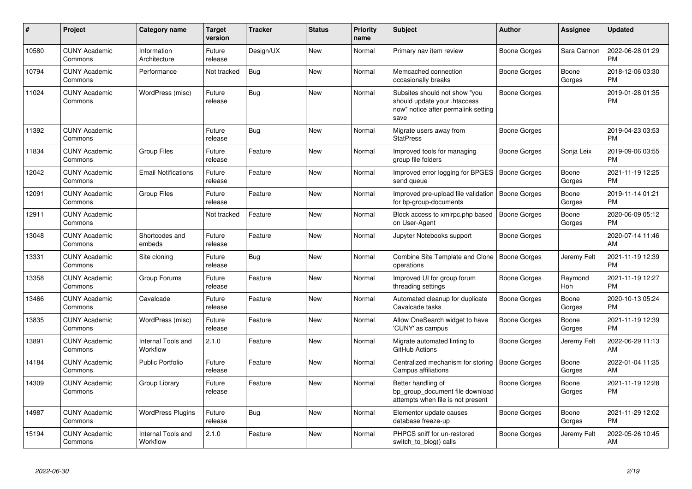| #     | Project                         | <b>Category name</b>           | <b>Target</b><br>version | <b>Tracker</b> | <b>Status</b> | <b>Priority</b><br>name | <b>Subject</b>                                                                                               | <b>Author</b>       | Assignee        | <b>Updated</b>                |
|-------|---------------------------------|--------------------------------|--------------------------|----------------|---------------|-------------------------|--------------------------------------------------------------------------------------------------------------|---------------------|-----------------|-------------------------------|
| 10580 | <b>CUNY Academic</b><br>Commons | Information<br>Architecture    | Future<br>release        | Design/UX      | <b>New</b>    | Normal                  | Primary nav item review                                                                                      | Boone Gorges        | Sara Cannon     | 2022-06-28 01:29<br><b>PM</b> |
| 10794 | <b>CUNY Academic</b><br>Commons | Performance                    | Not tracked              | Bug            | <b>New</b>    | Normal                  | Memcached connection<br>occasionally breaks                                                                  | Boone Gorges        | Boone<br>Gorges | 2018-12-06 03:30<br><b>PM</b> |
| 11024 | <b>CUNY Academic</b><br>Commons | WordPress (misc)               | Future<br>release        | <b>Bug</b>     | <b>New</b>    | Normal                  | Subsites should not show "you<br>should update your .htaccess<br>now" notice after permalink setting<br>save | Boone Gorges        |                 | 2019-01-28 01:35<br><b>PM</b> |
| 11392 | <b>CUNY Academic</b><br>Commons |                                | Future<br>release        | Bug            | <b>New</b>    | Normal                  | Migrate users away from<br><b>StatPress</b>                                                                  | Boone Gorges        |                 | 2019-04-23 03:53<br><b>PM</b> |
| 11834 | <b>CUNY Academic</b><br>Commons | <b>Group Files</b>             | Future<br>release        | Feature        | <b>New</b>    | Normal                  | Improved tools for managing<br>group file folders                                                            | Boone Gorges        | Sonja Leix      | 2019-09-06 03:55<br><b>PM</b> |
| 12042 | <b>CUNY Academic</b><br>Commons | <b>Email Notifications</b>     | Future<br>release        | Feature        | <b>New</b>    | Normal                  | Improved error logging for BPGES<br>send queue                                                               | Boone Gorges        | Boone<br>Gorges | 2021-11-19 12:25<br><b>PM</b> |
| 12091 | <b>CUNY Academic</b><br>Commons | Group Files                    | Future<br>release        | Feature        | <b>New</b>    | Normal                  | Improved pre-upload file validation<br>for bp-group-documents                                                | Boone Gorges        | Boone<br>Gorges | 2019-11-14 01:21<br><b>PM</b> |
| 12911 | <b>CUNY Academic</b><br>Commons |                                | Not tracked              | Feature        | New           | Normal                  | Block access to xmlrpc.php based<br>on User-Agent                                                            | <b>Boone Gorges</b> | Boone<br>Gorges | 2020-06-09 05:12<br><b>PM</b> |
| 13048 | <b>CUNY Academic</b><br>Commons | Shortcodes and<br>embeds       | Future<br>release        | Feature        | New           | Normal                  | Jupyter Notebooks support                                                                                    | Boone Gorges        |                 | 2020-07-14 11:46<br>AM        |
| 13331 | <b>CUNY Academic</b><br>Commons | Site cloning                   | Future<br>release        | Bug            | <b>New</b>    | Normal                  | Combine Site Template and Clone   Boone Gorges<br>operations                                                 |                     | Jeremy Felt     | 2021-11-19 12:39<br><b>PM</b> |
| 13358 | <b>CUNY Academic</b><br>Commons | Group Forums                   | Future<br>release        | Feature        | New           | Normal                  | Improved UI for group forum<br>threading settings                                                            | Boone Gorges        | Raymond<br>Hoh  | 2021-11-19 12:27<br><b>PM</b> |
| 13466 | <b>CUNY Academic</b><br>Commons | Cavalcade                      | Future<br>release        | Feature        | <b>New</b>    | Normal                  | Automated cleanup for duplicate<br>Cavalcade tasks                                                           | Boone Gorges        | Boone<br>Gorges | 2020-10-13 05:24<br><b>PM</b> |
| 13835 | <b>CUNY Academic</b><br>Commons | WordPress (misc)               | Future<br>release        | Feature        | <b>New</b>    | Normal                  | Allow OneSearch widget to have<br>'CUNY' as campus                                                           | Boone Gorges        | Boone<br>Gorges | 2021-11-19 12:39<br><b>PM</b> |
| 13891 | <b>CUNY Academic</b><br>Commons | Internal Tools and<br>Workflow | 2.1.0                    | Feature        | New           | Normal                  | Migrate automated linting to<br>GitHub Actions                                                               | Boone Gorges        | Jeremy Felt     | 2022-06-29 11:13<br>AM        |
| 14184 | <b>CUNY Academic</b><br>Commons | <b>Public Portfolio</b>        | Future<br>release        | Feature        | New           | Normal                  | Centralized mechanism for storing<br>Campus affiliations                                                     | Boone Gorges        | Boone<br>Gorges | 2022-01-04 11:35<br>AM        |
| 14309 | <b>CUNY Academic</b><br>Commons | Group Library                  | Future<br>release        | Feature        | New           | Normal                  | Better handling of<br>bp_group_document file download<br>attempts when file is not present                   | <b>Boone Gorges</b> | Boone<br>Gorges | 2021-11-19 12:28<br><b>PM</b> |
| 14987 | <b>CUNY Academic</b><br>Commons | <b>WordPress Plugins</b>       | Future<br>release        | <b>Bug</b>     | <b>New</b>    | Normal                  | Elementor update causes<br>database freeze-up                                                                | Boone Gorges        | Boone<br>Gorges | 2021-11-29 12:02<br><b>PM</b> |
| 15194 | <b>CUNY Academic</b><br>Commons | Internal Tools and<br>Workflow | 2.1.0                    | Feature        | <b>New</b>    | Normal                  | PHPCS sniff for un-restored<br>switch_to_blog() calls                                                        | Boone Gorges        | Jeremy Felt     | 2022-05-26 10:45<br>AM        |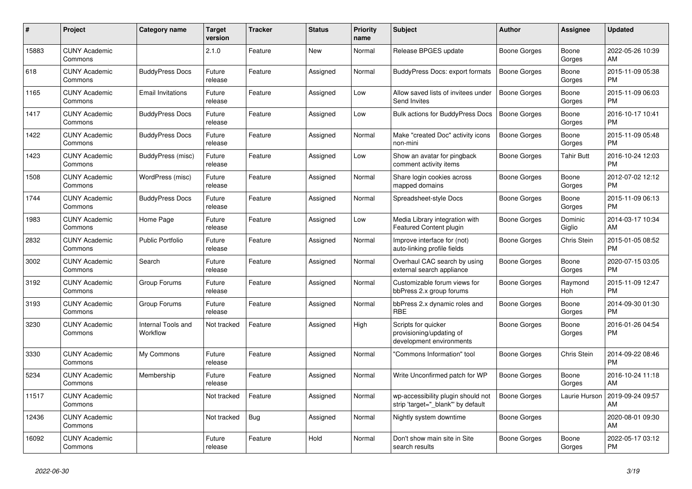| #     | <b>Project</b>                  | <b>Category name</b>           | <b>Target</b><br>version | <b>Tracker</b> | <b>Status</b> | <b>Priority</b><br>name | <b>Subject</b>                                                              | <b>Author</b>       | Assignee          | <b>Updated</b>                |
|-------|---------------------------------|--------------------------------|--------------------------|----------------|---------------|-------------------------|-----------------------------------------------------------------------------|---------------------|-------------------|-------------------------------|
| 15883 | <b>CUNY Academic</b><br>Commons |                                | 2.1.0                    | Feature        | New           | Normal                  | Release BPGES update                                                        | Boone Gorges        | Boone<br>Gorges   | 2022-05-26 10:39<br>AM        |
| 618   | <b>CUNY Academic</b><br>Commons | <b>BuddyPress Docs</b>         | Future<br>release        | Feature        | Assigned      | Normal                  | <b>BuddyPress Docs: export formats</b>                                      | <b>Boone Gorges</b> | Boone<br>Gorges   | 2015-11-09 05:38<br><b>PM</b> |
| 1165  | <b>CUNY Academic</b><br>Commons | <b>Email Invitations</b>       | Future<br>release        | Feature        | Assigned      | Low                     | Allow saved lists of invitees under<br>Send Invites                         | Boone Gorges        | Boone<br>Gorges   | 2015-11-09 06:03<br><b>PM</b> |
| 1417  | <b>CUNY Academic</b><br>Commons | <b>BuddyPress Docs</b>         | Future<br>release        | Feature        | Assigned      | Low                     | Bulk actions for BuddyPress Docs                                            | <b>Boone Gorges</b> | Boone<br>Gorges   | 2016-10-17 10:41<br><b>PM</b> |
| 1422  | <b>CUNY Academic</b><br>Commons | <b>BuddyPress Docs</b>         | Future<br>release        | Feature        | Assigned      | Normal                  | Make "created Doc" activity icons<br>non-mini                               | <b>Boone Gorges</b> | Boone<br>Gorges   | 2015-11-09 05:48<br><b>PM</b> |
| 1423  | <b>CUNY Academic</b><br>Commons | BuddyPress (misc)              | Future<br>release        | Feature        | Assigned      | Low                     | Show an avatar for pingback<br>comment activity items                       | Boone Gorges        | Tahir Butt        | 2016-10-24 12:03<br><b>PM</b> |
| 1508  | <b>CUNY Academic</b><br>Commons | WordPress (misc)               | Future<br>release        | Feature        | Assigned      | Normal                  | Share login cookies across<br>mapped domains                                | Boone Gorges        | Boone<br>Gorges   | 2012-07-02 12:12<br><b>PM</b> |
| 1744  | <b>CUNY Academic</b><br>Commons | <b>BuddyPress Docs</b>         | Future<br>release        | Feature        | Assigned      | Normal                  | Spreadsheet-style Docs                                                      | Boone Gorges        | Boone<br>Gorges   | 2015-11-09 06:13<br><b>PM</b> |
| 1983  | <b>CUNY Academic</b><br>Commons | Home Page                      | Future<br>release        | Feature        | Assigned      | Low                     | Media Library integration with<br>Featured Content plugin                   | Boone Gorges        | Dominic<br>Giglio | 2014-03-17 10:34<br>AM        |
| 2832  | <b>CUNY Academic</b><br>Commons | <b>Public Portfolio</b>        | Future<br>release        | Feature        | Assigned      | Normal                  | Improve interface for (not)<br>auto-linking profile fields                  | Boone Gorges        | Chris Stein       | 2015-01-05 08:52<br><b>PM</b> |
| 3002  | <b>CUNY Academic</b><br>Commons | Search                         | Future<br>release        | Feature        | Assigned      | Normal                  | Overhaul CAC search by using<br>external search appliance                   | Boone Gorges        | Boone<br>Gorges   | 2020-07-15 03:05<br><b>PM</b> |
| 3192  | <b>CUNY Academic</b><br>Commons | Group Forums                   | Future<br>release        | Feature        | Assigned      | Normal                  | Customizable forum views for<br>bbPress 2.x group forums                    | Boone Gorges        | Raymond<br>Hoh    | 2015-11-09 12:47<br><b>PM</b> |
| 3193  | <b>CUNY Academic</b><br>Commons | Group Forums                   | Future<br>release        | Feature        | Assigned      | Normal                  | bbPress 2.x dynamic roles and<br><b>RBE</b>                                 | Boone Gorges        | Boone<br>Gorges   | 2014-09-30 01:30<br><b>PM</b> |
| 3230  | <b>CUNY Academic</b><br>Commons | Internal Tools and<br>Workflow | Not tracked              | Feature        | Assigned      | High                    | Scripts for quicker<br>provisioning/updating of<br>development environments | Boone Gorges        | Boone<br>Gorges   | 2016-01-26 04:54<br><b>PM</b> |
| 3330  | <b>CUNY Academic</b><br>Commons | My Commons                     | Future<br>release        | Feature        | Assigned      | Normal                  | "Commons Information" tool                                                  | Boone Gorges        | Chris Stein       | 2014-09-22 08:46<br><b>PM</b> |
| 5234  | <b>CUNY Academic</b><br>Commons | Membership                     | Future<br>release        | Feature        | Assigned      | Normal                  | Write Unconfirmed patch for WP                                              | Boone Gorges        | Boone<br>Gorges   | 2016-10-24 11:18<br>AM        |
| 11517 | <b>CUNY Academic</b><br>Commons |                                | Not tracked              | Feature        | Assigned      | Normal                  | wp-accessibility plugin should not<br>strip 'target=" blank" by default     | <b>Boone Gorges</b> | Laurie Hurson     | 2019-09-24 09:57<br>AM        |
| 12436 | <b>CUNY Academic</b><br>Commons |                                | Not tracked              | Bug            | Assigned      | Normal                  | Nightly system downtime                                                     | Boone Gorges        |                   | 2020-08-01 09:30<br>AM        |
| 16092 | <b>CUNY Academic</b><br>Commons |                                | Future<br>release        | Feature        | Hold          | Normal                  | Don't show main site in Site<br>search results                              | Boone Gorges        | Boone<br>Gorges   | 2022-05-17 03:12<br><b>PM</b> |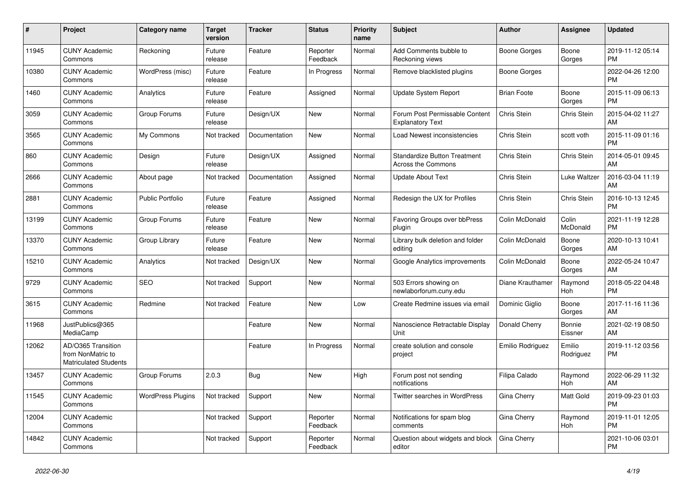| #     | Project                                                                 | <b>Category name</b>     | <b>Target</b><br>version | <b>Tracker</b> | <b>Status</b>        | Priority<br>name | <b>Subject</b>                                                   | <b>Author</b>      | Assignee            | <b>Updated</b>                |
|-------|-------------------------------------------------------------------------|--------------------------|--------------------------|----------------|----------------------|------------------|------------------------------------------------------------------|--------------------|---------------------|-------------------------------|
| 11945 | <b>CUNY Academic</b><br>Commons                                         | Reckoning                | Future<br>release        | Feature        | Reporter<br>Feedback | Normal           | Add Comments bubble to<br>Reckoning views                        | Boone Gorges       | Boone<br>Gorges     | 2019-11-12 05:14<br><b>PM</b> |
| 10380 | <b>CUNY Academic</b><br>Commons                                         | WordPress (misc)         | Future<br>release        | Feature        | In Progress          | Normal           | Remove blacklisted plugins                                       | Boone Gorges       |                     | 2022-04-26 12:00<br><b>PM</b> |
| 1460  | <b>CUNY Academic</b><br>Commons                                         | Analytics                | Future<br>release        | Feature        | Assigned             | Normal           | Update System Report                                             | <b>Brian Foote</b> | Boone<br>Gorges     | 2015-11-09 06:13<br><b>PM</b> |
| 3059  | <b>CUNY Academic</b><br>Commons                                         | Group Forums             | Future<br>release        | Design/UX      | <b>New</b>           | Normal           | Forum Post Permissable Content<br><b>Explanatory Text</b>        | Chris Stein        | Chris Stein         | 2015-04-02 11:27<br>AM        |
| 3565  | <b>CUNY Academic</b><br>Commons                                         | My Commons               | Not tracked              | Documentation  | New                  | Normal           | Load Newest inconsistencies                                      | Chris Stein        | scott voth          | 2015-11-09 01:16<br><b>PM</b> |
| 860   | <b>CUNY Academic</b><br>Commons                                         | Design                   | Future<br>release        | Design/UX      | Assigned             | Normal           | <b>Standardize Button Treatment</b><br><b>Across the Commons</b> | Chris Stein        | Chris Stein         | 2014-05-01 09:45<br>AM        |
| 2666  | <b>CUNY Academic</b><br>Commons                                         | About page               | Not tracked              | Documentation  | Assigned             | Normal           | <b>Update About Text</b>                                         | Chris Stein        | Luke Waltzer        | 2016-03-04 11:19<br>AM        |
| 2881  | <b>CUNY Academic</b><br>Commons                                         | <b>Public Portfolio</b>  | Future<br>release        | Feature        | Assigned             | Normal           | Redesign the UX for Profiles                                     | Chris Stein        | Chris Stein         | 2016-10-13 12:45<br><b>PM</b> |
| 13199 | <b>CUNY Academic</b><br>Commons                                         | Group Forums             | Future<br>release        | Feature        | <b>New</b>           | Normal           | Favoring Groups over bbPress<br>plugin                           | Colin McDonald     | Colin<br>McDonald   | 2021-11-19 12:28<br><b>PM</b> |
| 13370 | <b>CUNY Academic</b><br>Commons                                         | Group Library            | Future<br>release        | Feature        | <b>New</b>           | Normal           | Library bulk deletion and folder<br>editina                      | Colin McDonald     | Boone<br>Gorges     | 2020-10-13 10:41<br>AM        |
| 15210 | <b>CUNY Academic</b><br>Commons                                         | Analytics                | Not tracked              | Design/UX      | <b>New</b>           | Normal           | Google Analytics improvements                                    | Colin McDonald     | Boone<br>Gorges     | 2022-05-24 10:47<br>AM        |
| 9729  | <b>CUNY Academic</b><br>Commons                                         | <b>SEO</b>               | Not tracked              | Support        | New                  | Normal           | 503 Errors showing on<br>newlaborforum.cuny.edu                  | Diane Krauthamer   | Raymond<br>Hoh      | 2018-05-22 04:48<br><b>PM</b> |
| 3615  | <b>CUNY Academic</b><br>Commons                                         | Redmine                  | Not tracked              | Feature        | New                  | Low              | Create Redmine issues via email                                  | Dominic Giglio     | Boone<br>Gorges     | 2017-11-16 11:36<br>AM        |
| 11968 | JustPublics@365<br>MediaCamp                                            |                          |                          | Feature        | <b>New</b>           | Normal           | Nanoscience Retractable Display<br>Unit                          | Donald Cherry      | Bonnie<br>Eissner   | 2021-02-19 08:50<br>AM        |
| 12062 | AD/O365 Transition<br>from NonMatric to<br><b>Matriculated Students</b> |                          |                          | Feature        | In Progress          | Normal           | create solution and console<br>project                           | Emilio Rodriguez   | Emilio<br>Rodriguez | 2019-11-12 03:56<br><b>PM</b> |
| 13457 | <b>CUNY Academic</b><br>Commons                                         | Group Forums             | 2.0.3                    | Bug            | <b>New</b>           | High             | Forum post not sending<br>notifications                          | Filipa Calado      | Raymond<br>Hoh      | 2022-06-29 11:32<br>AM        |
| 11545 | <b>CUNY Academic</b><br>Commons                                         | <b>WordPress Plugins</b> | Not tracked              | Support        | <b>New</b>           | Normal           | Twitter searches in WordPress                                    | Gina Cherry        | Matt Gold           | 2019-09-23 01:03<br><b>PM</b> |
| 12004 | <b>CUNY Academic</b><br>Commons                                         |                          | Not tracked              | Support        | Reporter<br>Feedback | Normal           | Notifications for spam blog<br>comments                          | Gina Cherry        | Raymond<br>Hoh      | 2019-11-01 12:05<br><b>PM</b> |
| 14842 | <b>CUNY Academic</b><br>Commons                                         |                          | Not tracked              | Support        | Reporter<br>Feedback | Normal           | Question about widgets and block<br>editor                       | Gina Cherry        |                     | 2021-10-06 03:01<br><b>PM</b> |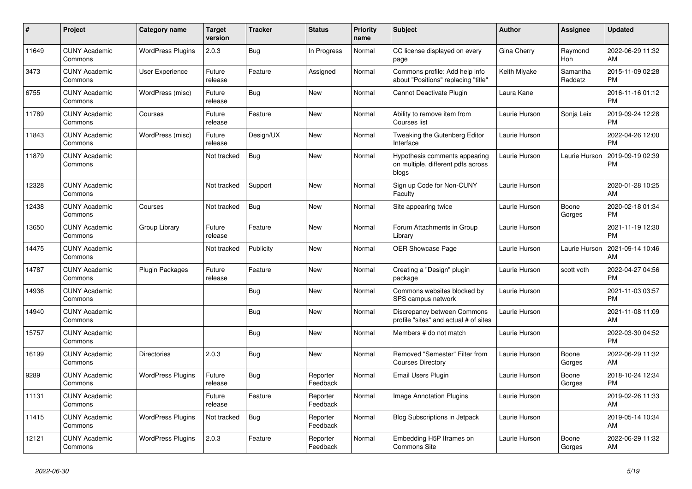| $\pmb{\sharp}$ | <b>Project</b>                  | <b>Category name</b>     | <b>Target</b><br>version | <b>Tracker</b> | <b>Status</b>        | <b>Priority</b><br>name | <b>Subject</b>                                                               | <b>Author</b> | Assignee              | <b>Updated</b>                |
|----------------|---------------------------------|--------------------------|--------------------------|----------------|----------------------|-------------------------|------------------------------------------------------------------------------|---------------|-----------------------|-------------------------------|
| 11649          | <b>CUNY Academic</b><br>Commons | <b>WordPress Plugins</b> | 2.0.3                    | Bug            | In Progress          | Normal                  | CC license displayed on every<br>page                                        | Gina Cherry   | Raymond<br><b>Hoh</b> | 2022-06-29 11:32<br>AM        |
| 3473           | <b>CUNY Academic</b><br>Commons | <b>User Experience</b>   | Future<br>release        | Feature        | Assigned             | Normal                  | Commons profile: Add help info<br>about "Positions" replacing "title"        | Keith Miyake  | Samantha<br>Raddatz   | 2015-11-09 02:28<br><b>PM</b> |
| 6755           | <b>CUNY Academic</b><br>Commons | WordPress (misc)         | Future<br>release        | Bug            | <b>New</b>           | Normal                  | Cannot Deactivate Plugin                                                     | Laura Kane    |                       | 2016-11-16 01:12<br><b>PM</b> |
| 11789          | <b>CUNY Academic</b><br>Commons | Courses                  | Future<br>release        | Feature        | <b>New</b>           | Normal                  | Ability to remove item from<br>Courses list                                  | Laurie Hurson | Sonja Leix            | 2019-09-24 12:28<br><b>PM</b> |
| 11843          | <b>CUNY Academic</b><br>Commons | WordPress (misc)         | Future<br>release        | Design/UX      | New                  | Normal                  | Tweaking the Gutenberg Editor<br>Interface                                   | Laurie Hurson |                       | 2022-04-26 12:00<br><b>PM</b> |
| 11879          | <b>CUNY Academic</b><br>Commons |                          | Not tracked              | Bug            | <b>New</b>           | Normal                  | Hypothesis comments appearing<br>on multiple, different pdfs across<br>blogs | Laurie Hurson | Laurie Hurson         | 2019-09-19 02:39<br><b>PM</b> |
| 12328          | <b>CUNY Academic</b><br>Commons |                          | Not tracked              | Support        | New                  | Normal                  | Sign up Code for Non-CUNY<br>Faculty                                         | Laurie Hurson |                       | 2020-01-28 10:25<br>AM        |
| 12438          | <b>CUNY Academic</b><br>Commons | Courses                  | Not tracked              | Bug            | New                  | Normal                  | Site appearing twice                                                         | Laurie Hurson | Boone<br>Gorges       | 2020-02-18 01:34<br><b>PM</b> |
| 13650          | <b>CUNY Academic</b><br>Commons | Group Library            | Future<br>release        | Feature        | <b>New</b>           | Normal                  | Forum Attachments in Group<br>Library                                        | Laurie Hurson |                       | 2021-11-19 12:30<br><b>PM</b> |
| 14475          | <b>CUNY Academic</b><br>Commons |                          | Not tracked              | Publicity      | New                  | Normal                  | OER Showcase Page                                                            | Laurie Hurson | Laurie Hurson         | 2021-09-14 10:46<br>AM        |
| 14787          | <b>CUNY Academic</b><br>Commons | <b>Plugin Packages</b>   | Future<br>release        | Feature        | New                  | Normal                  | Creating a "Design" plugin<br>package                                        | Laurie Hurson | scott voth            | 2022-04-27 04:56<br><b>PM</b> |
| 14936          | <b>CUNY Academic</b><br>Commons |                          |                          | Bug            | <b>New</b>           | Normal                  | Commons websites blocked by<br>SPS campus network                            | Laurie Hurson |                       | 2021-11-03 03:57<br><b>PM</b> |
| 14940          | <b>CUNY Academic</b><br>Commons |                          |                          | Bug            | <b>New</b>           | Normal                  | Discrepancy between Commons<br>profile "sites" and actual # of sites         | Laurie Hurson |                       | 2021-11-08 11:09<br>AM        |
| 15757          | <b>CUNY Academic</b><br>Commons |                          |                          | Bug            | New                  | Normal                  | Members # do not match                                                       | Laurie Hurson |                       | 2022-03-30 04:52<br><b>PM</b> |
| 16199          | <b>CUNY Academic</b><br>Commons | <b>Directories</b>       | 2.0.3                    | Bug            | <b>New</b>           | Normal                  | Removed "Semester" Filter from<br><b>Courses Directory</b>                   | Laurie Hurson | Boone<br>Gorges       | 2022-06-29 11:32<br>AM        |
| 9289           | <b>CUNY Academic</b><br>Commons | <b>WordPress Plugins</b> | Future<br>release        | Bug            | Reporter<br>Feedback | Normal                  | Email Users Plugin                                                           | Laurie Hurson | Boone<br>Gorges       | 2018-10-24 12:34<br><b>PM</b> |
| 11131          | <b>CUNY Academic</b><br>Commons |                          | Future<br>release        | Feature        | Reporter<br>Feedback | Normal                  | <b>Image Annotation Plugins</b>                                              | Laurie Hurson |                       | 2019-02-26 11:33<br>AM        |
| 11415          | <b>CUNY Academic</b><br>Commons | <b>WordPress Plugins</b> | Not tracked              | Bug            | Reporter<br>Feedback | Normal                  | Blog Subscriptions in Jetpack                                                | Laurie Hurson |                       | 2019-05-14 10:34<br>AM        |
| 12121          | <b>CUNY Academic</b><br>Commons | <b>WordPress Plugins</b> | 2.0.3                    | Feature        | Reporter<br>Feedback | Normal                  | Embedding H5P Iframes on<br><b>Commons Site</b>                              | Laurie Hurson | Boone<br>Gorges       | 2022-06-29 11:32<br>AM        |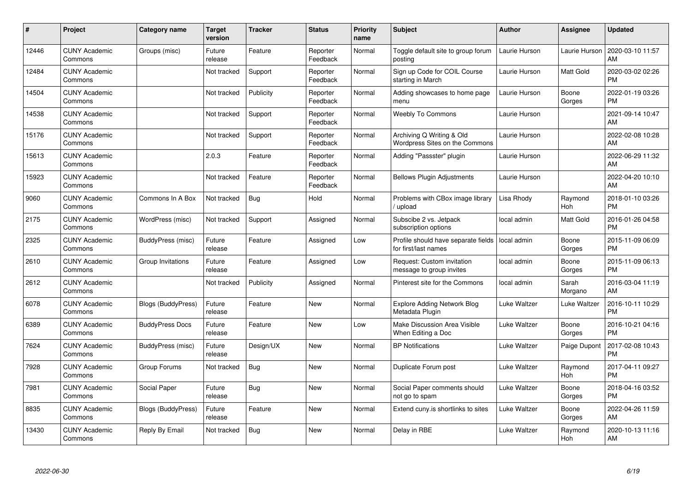| #     | Project                         | <b>Category name</b>      | <b>Target</b><br>version | <b>Tracker</b> | <b>Status</b>        | <b>Priority</b><br>name | <b>Subject</b>                                              | <b>Author</b> | <b>Assignee</b>  | <b>Updated</b>                |
|-------|---------------------------------|---------------------------|--------------------------|----------------|----------------------|-------------------------|-------------------------------------------------------------|---------------|------------------|-------------------------------|
| 12446 | <b>CUNY Academic</b><br>Commons | Groups (misc)             | Future<br>release        | Feature        | Reporter<br>Feedback | Normal                  | Toggle default site to group forum<br>posting               | Laurie Hurson | Laurie Hurson    | 2020-03-10 11:57<br>AM        |
| 12484 | <b>CUNY Academic</b><br>Commons |                           | Not tracked              | Support        | Reporter<br>Feedback | Normal                  | Sign up Code for COIL Course<br>starting in March           | Laurie Hurson | Matt Gold        | 2020-03-02 02:26<br><b>PM</b> |
| 14504 | <b>CUNY Academic</b><br>Commons |                           | Not tracked              | Publicity      | Reporter<br>Feedback | Normal                  | Adding showcases to home page<br>menu                       | Laurie Hurson | Boone<br>Gorges  | 2022-01-19 03:26<br><b>PM</b> |
| 14538 | <b>CUNY Academic</b><br>Commons |                           | Not tracked              | Support        | Reporter<br>Feedback | Normal                  | Weebly To Commons                                           | Laurie Hurson |                  | 2021-09-14 10:47<br>AM        |
| 15176 | <b>CUNY Academic</b><br>Commons |                           | Not tracked              | Support        | Reporter<br>Feedback | Normal                  | Archiving Q Writing & Old<br>Wordpress Sites on the Commons | Laurie Hurson |                  | 2022-02-08 10:28<br><b>AM</b> |
| 15613 | <b>CUNY Academic</b><br>Commons |                           | 2.0.3                    | Feature        | Reporter<br>Feedback | Normal                  | Adding "Passster" plugin                                    | Laurie Hurson |                  | 2022-06-29 11:32<br>AM        |
| 15923 | <b>CUNY Academic</b><br>Commons |                           | Not tracked              | Feature        | Reporter<br>Feedback | Normal                  | <b>Bellows Plugin Adjustments</b>                           | Laurie Hurson |                  | 2022-04-20 10:10<br>AM        |
| 9060  | <b>CUNY Academic</b><br>Commons | Commons In A Box          | Not tracked              | Bug            | Hold                 | Normal                  | Problems with CBox image library<br>/ upload                | Lisa Rhody    | Raymond<br>Hoh   | 2018-01-10 03:26<br><b>PM</b> |
| 2175  | <b>CUNY Academic</b><br>Commons | WordPress (misc)          | Not tracked              | Support        | Assigned             | Normal                  | Subscibe 2 vs. Jetpack<br>subscription options              | local admin   | Matt Gold        | 2016-01-26 04:58<br><b>PM</b> |
| 2325  | <b>CUNY Academic</b><br>Commons | BuddyPress (misc)         | Future<br>release        | Feature        | Assigned             | Low                     | Profile should have separate fields<br>for first/last names | local admin   | Boone<br>Gorges  | 2015-11-09 06:09<br>PM        |
| 2610  | <b>CUNY Academic</b><br>Commons | Group Invitations         | Future<br>release        | Feature        | Assigned             | Low                     | Request: Custom invitation<br>message to group invites      | local admin   | Boone<br>Gorges  | 2015-11-09 06:13<br><b>PM</b> |
| 2612  | <b>CUNY Academic</b><br>Commons |                           | Not tracked              | Publicity      | Assigned             | Normal                  | Pinterest site for the Commons                              | local admin   | Sarah<br>Morgano | 2016-03-04 11:19<br>AM        |
| 6078  | <b>CUNY Academic</b><br>Commons | <b>Blogs (BuddyPress)</b> | Future<br>release        | Feature        | New                  | Normal                  | <b>Explore Adding Network Blog</b><br>Metadata Plugin       | Luke Waltzer  | Luke Waltzer     | 2016-10-11 10:29<br><b>PM</b> |
| 6389  | <b>CUNY Academic</b><br>Commons | <b>BuddyPress Docs</b>    | Future<br>release        | Feature        | New                  | Low                     | Make Discussion Area Visible<br>When Editing a Doc          | Luke Waltzer  | Boone<br>Gorges  | 2016-10-21 04:16<br><b>PM</b> |
| 7624  | <b>CUNY Academic</b><br>Commons | BuddyPress (misc)         | Future<br>release        | Design/UX      | New                  | Normal                  | <b>BP Notifications</b>                                     | Luke Waltzer  | Paige Dupont     | 2017-02-08 10:43<br><b>PM</b> |
| 7928  | <b>CUNY Academic</b><br>Commons | Group Forums              | Not tracked              | Bug            | New                  | Normal                  | Duplicate Forum post                                        | Luke Waltzer  | Raymond<br>Hoh   | 2017-04-11 09:27<br><b>PM</b> |
| 7981  | <b>CUNY Academic</b><br>Commons | Social Paper              | Future<br>release        | Bug            | New                  | Normal                  | Social Paper comments should<br>not go to spam              | Luke Waltzer  | Boone<br>Gorges  | 2018-04-16 03:52<br><b>PM</b> |
| 8835  | <b>CUNY Academic</b><br>Commons | <b>Blogs (BuddyPress)</b> | Future<br>release        | Feature        | <b>New</b>           | Normal                  | Extend cuny is shortlinks to sites                          | Luke Waltzer  | Boone<br>Gorges  | 2022-04-26 11:59<br>AM        |
| 13430 | <b>CUNY Academic</b><br>Commons | Reply By Email            | Not tracked              | <b>Bug</b>     | <b>New</b>           | Normal                  | Delay in RBE                                                | Luke Waltzer  | Raymond<br>Hoh   | 2020-10-13 11:16<br>AM        |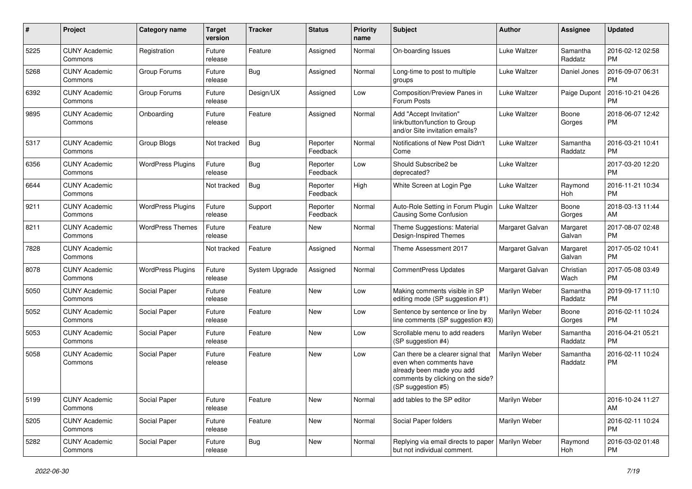| #    | Project                         | <b>Category name</b>     | <b>Target</b><br>version | <b>Tracker</b> | <b>Status</b>        | <b>Priority</b><br>name | Subject                                                                                                                                               | Author          | <b>Assignee</b>     | <b>Updated</b>                |
|------|---------------------------------|--------------------------|--------------------------|----------------|----------------------|-------------------------|-------------------------------------------------------------------------------------------------------------------------------------------------------|-----------------|---------------------|-------------------------------|
| 5225 | <b>CUNY Academic</b><br>Commons | Registration             | Future<br>release        | Feature        | Assigned             | Normal                  | On-boarding Issues                                                                                                                                    | Luke Waltzer    | Samantha<br>Raddatz | 2016-02-12 02:58<br><b>PM</b> |
| 5268 | <b>CUNY Academic</b><br>Commons | Group Forums             | Future<br>release        | Bug            | Assigned             | Normal                  | Long-time to post to multiple<br>groups                                                                                                               | Luke Waltzer    | Daniel Jones        | 2016-09-07 06:31<br><b>PM</b> |
| 6392 | <b>CUNY Academic</b><br>Commons | Group Forums             | Future<br>release        | Design/UX      | Assigned             | Low                     | Composition/Preview Panes in<br>Forum Posts                                                                                                           | Luke Waltzer    | Paige Dupont        | 2016-10-21 04:26<br><b>PM</b> |
| 9895 | <b>CUNY Academic</b><br>Commons | Onboarding               | Future<br>release        | Feature        | Assigned             | Normal                  | Add "Accept Invitation"<br>link/button/function to Group<br>and/or Site invitation emails?                                                            | Luke Waltzer    | Boone<br>Gorges     | 2018-06-07 12:42<br><b>PM</b> |
| 5317 | <b>CUNY Academic</b><br>Commons | Group Blogs              | Not tracked              | Bug            | Reporter<br>Feedback | Normal                  | Notifications of New Post Didn't<br>Come                                                                                                              | Luke Waltzer    | Samantha<br>Raddatz | 2016-03-21 10:41<br><b>PM</b> |
| 6356 | <b>CUNY Academic</b><br>Commons | <b>WordPress Plugins</b> | Future<br>release        | Bug            | Reporter<br>Feedback | Low                     | Should Subscribe2 be<br>deprecated?                                                                                                                   | Luke Waltzer    |                     | 2017-03-20 12:20<br>PM        |
| 6644 | <b>CUNY Academic</b><br>Commons |                          | Not tracked              | Bug            | Reporter<br>Feedback | High                    | White Screen at Login Pge                                                                                                                             | Luke Waltzer    | Raymond<br>Hoh      | 2016-11-21 10:34<br><b>PM</b> |
| 9211 | <b>CUNY Academic</b><br>Commons | <b>WordPress Plugins</b> | Future<br>release        | Support        | Reporter<br>Feedback | Normal                  | Auto-Role Setting in Forum Plugin<br>Causing Some Confusion                                                                                           | Luke Waltzer    | Boone<br>Gorges     | 2018-03-13 11:44<br>AM        |
| 8211 | <b>CUNY Academic</b><br>Commons | <b>WordPress Themes</b>  | Future<br>release        | Feature        | <b>New</b>           | Normal                  | Theme Suggestions: Material<br>Design-Inspired Themes                                                                                                 | Margaret Galvan | Margaret<br>Galvan  | 2017-08-07 02:48<br><b>PM</b> |
| 7828 | <b>CUNY Academic</b><br>Commons |                          | Not tracked              | Feature        | Assigned             | Normal                  | Theme Assessment 2017                                                                                                                                 | Margaret Galvan | Margaret<br>Galvan  | 2017-05-02 10:41<br><b>PM</b> |
| 8078 | <b>CUNY Academic</b><br>Commons | <b>WordPress Plugins</b> | Future<br>release        | System Upgrade | Assigned             | Normal                  | CommentPress Updates                                                                                                                                  | Margaret Galvan | Christian<br>Wach   | 2017-05-08 03:49<br><b>PM</b> |
| 5050 | <b>CUNY Academic</b><br>Commons | Social Paper             | Future<br>release        | Feature        | <b>New</b>           | Low                     | Making comments visible in SP<br>editing mode (SP suggestion #1)                                                                                      | Marilyn Weber   | Samantha<br>Raddatz | 2019-09-17 11:10<br><b>PM</b> |
| 5052 | <b>CUNY Academic</b><br>Commons | Social Paper             | Future<br>release        | Feature        | <b>New</b>           | Low                     | Sentence by sentence or line by<br>line comments (SP suggestion #3)                                                                                   | Marilyn Weber   | Boone<br>Gorges     | 2016-02-11 10:24<br><b>PM</b> |
| 5053 | <b>CUNY Academic</b><br>Commons | Social Paper             | Future<br>release        | Feature        | New                  | Low                     | Scrollable menu to add readers<br>(SP suggestion #4)                                                                                                  | Marilyn Weber   | Samantha<br>Raddatz | 2016-04-21 05:21<br><b>PM</b> |
| 5058 | <b>CUNY Academic</b><br>Commons | Social Paper             | Future<br>release        | Feature        | <b>New</b>           | Low                     | Can there be a clearer signal that<br>even when comments have<br>already been made you add<br>comments by clicking on the side?<br>(SP suggestion #5) | Marilyn Weber   | Samantha<br>Raddatz | 2016-02-11 10:24<br><b>PM</b> |
| 5199 | <b>CUNY Academic</b><br>Commons | Social Paper             | Future<br>release        | Feature        | New                  | Normal                  | add tables to the SP editor                                                                                                                           | Marilyn Weber   |                     | 2016-10-24 11:27<br>AM        |
| 5205 | <b>CUNY Academic</b><br>Commons | Social Paper             | Future<br>release        | Feature        | New                  | Normal                  | Social Paper folders                                                                                                                                  | Marilyn Weber   |                     | 2016-02-11 10:24<br><b>PM</b> |
| 5282 | <b>CUNY Academic</b><br>Commons | Social Paper             | Future<br>release        | <b>Bug</b>     | New                  | Normal                  | Replying via email directs to paper<br>but not individual comment.                                                                                    | Marilyn Weber   | Raymond<br>Hoh      | 2016-03-02 01:48<br><b>PM</b> |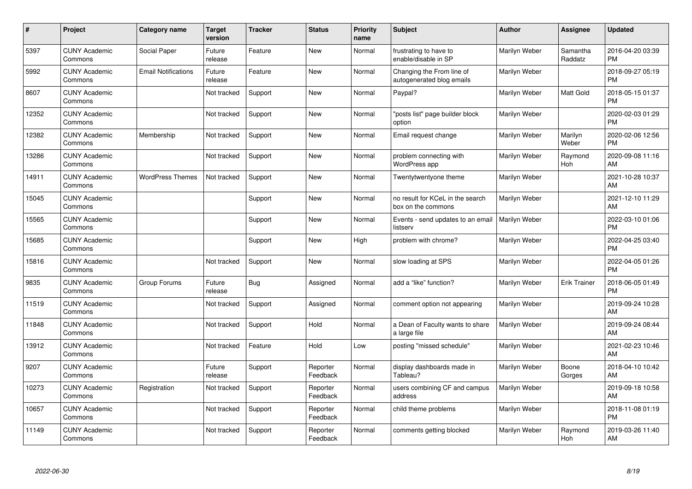| #     | Project                         | <b>Category name</b>       | <b>Target</b><br>version | <b>Tracker</b> | <b>Status</b>        | <b>Priority</b><br>name | <b>Subject</b>                                         | <b>Author</b> | <b>Assignee</b>     | <b>Updated</b>                |
|-------|---------------------------------|----------------------------|--------------------------|----------------|----------------------|-------------------------|--------------------------------------------------------|---------------|---------------------|-------------------------------|
| 5397  | <b>CUNY Academic</b><br>Commons | Social Paper               | Future<br>release        | Feature        | <b>New</b>           | Normal                  | frustrating to have to<br>enable/disable in SP         | Marilyn Weber | Samantha<br>Raddatz | 2016-04-20 03:39<br><b>PM</b> |
| 5992  | <b>CUNY Academic</b><br>Commons | <b>Email Notifications</b> | Future<br>release        | Feature        | <b>New</b>           | Normal                  | Changing the From line of<br>autogenerated blog emails | Marilyn Weber |                     | 2018-09-27 05:19<br><b>PM</b> |
| 8607  | <b>CUNY Academic</b><br>Commons |                            | Not tracked              | Support        | <b>New</b>           | Normal                  | Paypal?                                                | Marilyn Weber | Matt Gold           | 2018-05-15 01:37<br><b>PM</b> |
| 12352 | <b>CUNY Academic</b><br>Commons |                            | Not tracked              | Support        | <b>New</b>           | Normal                  | "posts list" page builder block<br>option              | Marilyn Weber |                     | 2020-02-03 01:29<br><b>PM</b> |
| 12382 | <b>CUNY Academic</b><br>Commons | Membership                 | Not tracked              | Support        | <b>New</b>           | Normal                  | Email request change                                   | Marilyn Weber | Marilyn<br>Weber    | 2020-02-06 12:56<br><b>PM</b> |
| 13286 | <b>CUNY Academic</b><br>Commons |                            | Not tracked              | Support        | <b>New</b>           | Normal                  | problem connecting with<br><b>WordPress app</b>        | Marilyn Weber | Raymond<br>Hoh      | 2020-09-08 11:16<br>AM        |
| 14911 | <b>CUNY Academic</b><br>Commons | <b>WordPress Themes</b>    | Not tracked              | Support        | <b>New</b>           | Normal                  | Twentytwentyone theme                                  | Marilyn Weber |                     | 2021-10-28 10:37<br>AM        |
| 15045 | <b>CUNY Academic</b><br>Commons |                            |                          | Support        | New                  | Normal                  | no result for KCeL in the search<br>box on the commons | Marilyn Weber |                     | 2021-12-10 11:29<br>AM        |
| 15565 | <b>CUNY Academic</b><br>Commons |                            |                          | Support        | New                  | Normal                  | Events - send updates to an email<br>listserv          | Marilyn Weber |                     | 2022-03-10 01:06<br><b>PM</b> |
| 15685 | <b>CUNY Academic</b><br>Commons |                            |                          | Support        | <b>New</b>           | High                    | problem with chrome?                                   | Marilyn Weber |                     | 2022-04-25 03:40<br><b>PM</b> |
| 15816 | <b>CUNY Academic</b><br>Commons |                            | Not tracked              | Support        | <b>New</b>           | Normal                  | slow loading at SPS                                    | Marilyn Weber |                     | 2022-04-05 01:26<br><b>PM</b> |
| 9835  | <b>CUNY Academic</b><br>Commons | Group Forums               | Future<br>release        | Bug            | Assigned             | Normal                  | add a "like" function?                                 | Marilyn Weber | <b>Erik Trainer</b> | 2018-06-05 01:49<br><b>PM</b> |
| 11519 | <b>CUNY Academic</b><br>Commons |                            | Not tracked              | Support        | Assigned             | Normal                  | comment option not appearing                           | Marilyn Weber |                     | 2019-09-24 10:28<br>AM        |
| 11848 | <b>CUNY Academic</b><br>Commons |                            | Not tracked              | Support        | Hold                 | Normal                  | a Dean of Faculty wants to share<br>a large file       | Marilyn Weber |                     | 2019-09-24 08:44<br>AM        |
| 13912 | <b>CUNY Academic</b><br>Commons |                            | Not tracked              | Feature        | Hold                 | Low                     | posting "missed schedule"                              | Marilyn Weber |                     | 2021-02-23 10:46<br>AM        |
| 9207  | <b>CUNY Academic</b><br>Commons |                            | Future<br>release        | Support        | Reporter<br>Feedback | Normal                  | display dashboards made in<br>Tableau?                 | Marilyn Weber | Boone<br>Gorges     | 2018-04-10 10:42<br>AM        |
| 10273 | <b>CUNY Academic</b><br>Commons | Registration               | Not tracked              | Support        | Reporter<br>Feedback | Normal                  | users combining CF and campus<br>address               | Marilyn Weber |                     | 2019-09-18 10:58<br>AM        |
| 10657 | <b>CUNY Academic</b><br>Commons |                            | Not tracked              | Support        | Reporter<br>Feedback | Normal                  | child theme problems                                   | Marilyn Weber |                     | 2018-11-08 01:19<br><b>PM</b> |
| 11149 | <b>CUNY Academic</b><br>Commons |                            | Not tracked              | Support        | Reporter<br>Feedback | Normal                  | comments getting blocked                               | Marilyn Weber | Raymond<br>Hoh      | 2019-03-26 11:40<br>AM        |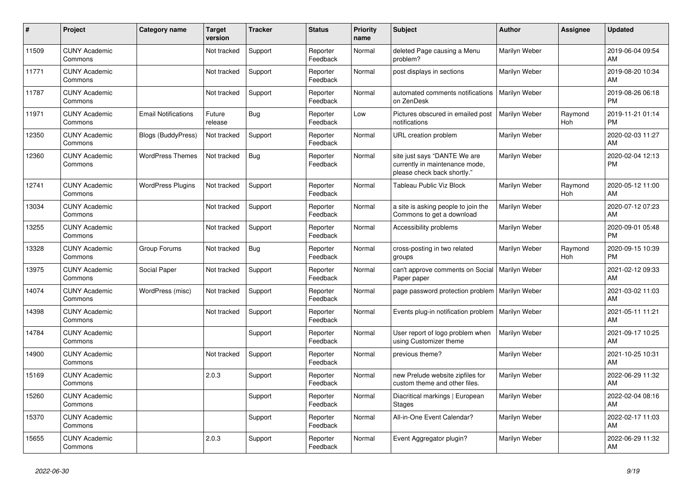| #     | Project                         | <b>Category name</b>       | <b>Target</b><br>version | <b>Tracker</b> | <b>Status</b>        | <b>Priority</b><br>name | <b>Subject</b>                                                                                | <b>Author</b> | Assignee       | <b>Updated</b>                |
|-------|---------------------------------|----------------------------|--------------------------|----------------|----------------------|-------------------------|-----------------------------------------------------------------------------------------------|---------------|----------------|-------------------------------|
| 11509 | <b>CUNY Academic</b><br>Commons |                            | Not tracked              | Support        | Reporter<br>Feedback | Normal                  | deleted Page causing a Menu<br>problem?                                                       | Marilyn Weber |                | 2019-06-04 09:54<br>AM        |
| 11771 | <b>CUNY Academic</b><br>Commons |                            | Not tracked              | Support        | Reporter<br>Feedback | Normal                  | post displays in sections                                                                     | Marilyn Weber |                | 2019-08-20 10:34<br>AM        |
| 11787 | <b>CUNY Academic</b><br>Commons |                            | Not tracked              | Support        | Reporter<br>Feedback | Normal                  | automated comments notifications<br>on ZenDesk                                                | Marilyn Weber |                | 2019-08-26 06:18<br><b>PM</b> |
| 11971 | <b>CUNY Academic</b><br>Commons | <b>Email Notifications</b> | Future<br>release        | Bug            | Reporter<br>Feedback | Low                     | Pictures obscured in emailed post<br>notifications                                            | Marilyn Weber | Raymond<br>Hoh | 2019-11-21 01:14<br><b>PM</b> |
| 12350 | <b>CUNY Academic</b><br>Commons | Blogs (BuddyPress)         | Not tracked              | Support        | Reporter<br>Feedback | Normal                  | URL creation problem                                                                          | Marilyn Weber |                | 2020-02-03 11:27<br>AM        |
| 12360 | <b>CUNY Academic</b><br>Commons | <b>WordPress Themes</b>    | Not tracked              | <b>Bug</b>     | Reporter<br>Feedback | Normal                  | site just says "DANTE We are<br>currently in maintenance mode,<br>please check back shortly." | Marilyn Weber |                | 2020-02-04 12:13<br><b>PM</b> |
| 12741 | <b>CUNY Academic</b><br>Commons | <b>WordPress Plugins</b>   | Not tracked              | Support        | Reporter<br>Feedback | Normal                  | Tableau Public Viz Block                                                                      | Marilyn Weber | Raymond<br>Hoh | 2020-05-12 11:00<br>AM        |
| 13034 | <b>CUNY Academic</b><br>Commons |                            | Not tracked              | Support        | Reporter<br>Feedback | Normal                  | a site is asking people to join the<br>Commons to get a download                              | Marilyn Weber |                | 2020-07-12 07:23<br><b>AM</b> |
| 13255 | <b>CUNY Academic</b><br>Commons |                            | Not tracked              | Support        | Reporter<br>Feedback | Normal                  | Accessibility problems                                                                        | Marilyn Weber |                | 2020-09-01 05:48<br><b>PM</b> |
| 13328 | <b>CUNY Academic</b><br>Commons | Group Forums               | Not tracked              | Bug            | Reporter<br>Feedback | Normal                  | cross-posting in two related<br>groups                                                        | Marilyn Weber | Raymond<br>Hoh | 2020-09-15 10:39<br><b>PM</b> |
| 13975 | <b>CUNY Academic</b><br>Commons | Social Paper               | Not tracked              | Support        | Reporter<br>Feedback | Normal                  | can't approve comments on Social<br>Paper paper                                               | Marilyn Weber |                | 2021-02-12 09:33<br>AM        |
| 14074 | <b>CUNY Academic</b><br>Commons | WordPress (misc)           | Not tracked              | Support        | Reporter<br>Feedback | Normal                  | page password protection problem   Marilyn Weber                                              |               |                | 2021-03-02 11:03<br>AM        |
| 14398 | <b>CUNY Academic</b><br>Commons |                            | Not tracked              | Support        | Reporter<br>Feedback | Normal                  | Events plug-in notification problem                                                           | Marilyn Weber |                | 2021-05-11 11:21<br>AM        |
| 14784 | <b>CUNY Academic</b><br>Commons |                            |                          | Support        | Reporter<br>Feedback | Normal                  | User report of logo problem when<br>using Customizer theme                                    | Marilyn Weber |                | 2021-09-17 10:25<br>AM        |
| 14900 | <b>CUNY Academic</b><br>Commons |                            | Not tracked              | Support        | Reporter<br>Feedback | Normal                  | previous theme?                                                                               | Marilyn Weber |                | 2021-10-25 10:31<br><b>AM</b> |
| 15169 | <b>CUNY Academic</b><br>Commons |                            | 2.0.3                    | Support        | Reporter<br>Feedback | Normal                  | new Prelude website zipfiles for<br>custom theme and other files.                             | Marilyn Weber |                | 2022-06-29 11:32<br>AM        |
| 15260 | <b>CUNY Academic</b><br>Commons |                            |                          | Support        | Reporter<br>Feedback | Normal                  | Diacritical markings   European<br><b>Stages</b>                                              | Marilyn Weber |                | 2022-02-04 08:16<br>AM        |
| 15370 | <b>CUNY Academic</b><br>Commons |                            |                          | Support        | Reporter<br>Feedback | Normal                  | All-in-One Event Calendar?                                                                    | Marilyn Weber |                | 2022-02-17 11:03<br><b>AM</b> |
| 15655 | <b>CUNY Academic</b><br>Commons |                            | 2.0.3                    | Support        | Reporter<br>Feedback | Normal                  | Event Aggregator plugin?                                                                      | Marilyn Weber |                | 2022-06-29 11:32<br>AM        |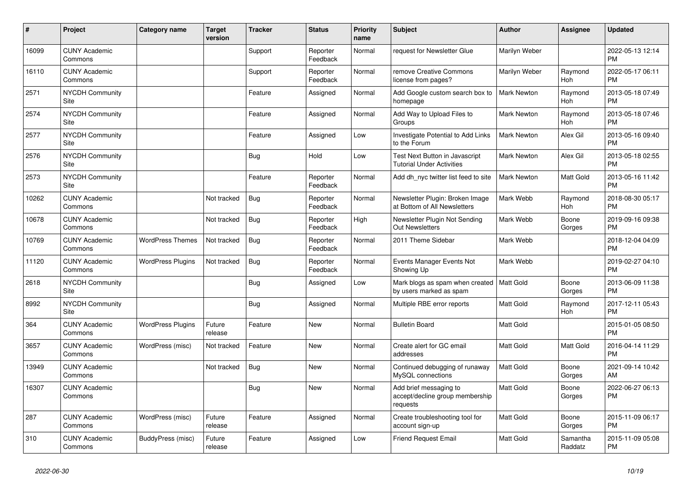| #     | Project                         | <b>Category name</b>     | <b>Target</b><br>version | <b>Tracker</b> | <b>Status</b>        | <b>Priority</b><br>name | <b>Subject</b>                                                         | <b>Author</b>      | Assignee            | <b>Updated</b>                |
|-------|---------------------------------|--------------------------|--------------------------|----------------|----------------------|-------------------------|------------------------------------------------------------------------|--------------------|---------------------|-------------------------------|
| 16099 | <b>CUNY Academic</b><br>Commons |                          |                          | Support        | Reporter<br>Feedback | Normal                  | request for Newsletter Glue                                            | Marilyn Weber      |                     | 2022-05-13 12:14<br><b>PM</b> |
| 16110 | <b>CUNY Academic</b><br>Commons |                          |                          | Support        | Reporter<br>Feedback | Normal                  | remove Creative Commons<br>license from pages?                         | Marilyn Weber      | Raymond<br>Hoh      | 2022-05-17 06:11<br><b>PM</b> |
| 2571  | <b>NYCDH Community</b><br>Site  |                          |                          | Feature        | Assigned             | Normal                  | Add Google custom search box to<br>homepage                            | <b>Mark Newton</b> | Raymond<br>Hoh      | 2013-05-18 07:49<br><b>PM</b> |
| 2574  | <b>NYCDH Community</b><br>Site  |                          |                          | Feature        | Assigned             | Normal                  | Add Way to Upload Files to<br>Groups                                   | <b>Mark Newton</b> | Raymond<br>Hoh      | 2013-05-18 07:46<br><b>PM</b> |
| 2577  | <b>NYCDH Community</b><br>Site  |                          |                          | Feature        | Assigned             | Low                     | Investigate Potential to Add Links<br>to the Forum                     | <b>Mark Newton</b> | Alex Gil            | 2013-05-16 09:40<br><b>PM</b> |
| 2576  | <b>NYCDH Community</b><br>Site  |                          |                          | Bug            | Hold                 | Low                     | Test Next Button in Javascript<br><b>Tutorial Under Activities</b>     | <b>Mark Newton</b> | Alex Gil            | 2013-05-18 02:55<br><b>PM</b> |
| 2573  | <b>NYCDH Community</b><br>Site  |                          |                          | Feature        | Reporter<br>Feedback | Normal                  | Add dh nyc twitter list feed to site                                   | Mark Newton        | Matt Gold           | 2013-05-16 11:42<br><b>PM</b> |
| 10262 | <b>CUNY Academic</b><br>Commons |                          | Not tracked              | Bug            | Reporter<br>Feedback | Normal                  | Newsletter Plugin: Broken Image<br>at Bottom of All Newsletters        | Mark Webb          | Raymond<br>Hoh      | 2018-08-30 05:17<br><b>PM</b> |
| 10678 | <b>CUNY Academic</b><br>Commons |                          | Not tracked              | Bug            | Reporter<br>Feedback | High                    | Newsletter Plugin Not Sending<br><b>Out Newsletters</b>                | Mark Webb          | Boone<br>Gorges     | 2019-09-16 09:38<br><b>PM</b> |
| 10769 | <b>CUNY Academic</b><br>Commons | <b>WordPress Themes</b>  | Not tracked              | <b>Bug</b>     | Reporter<br>Feedback | Normal                  | 2011 Theme Sidebar                                                     | Mark Webb          |                     | 2018-12-04 04:09<br><b>PM</b> |
| 11120 | <b>CUNY Academic</b><br>Commons | <b>WordPress Plugins</b> | Not tracked              | <b>Bug</b>     | Reporter<br>Feedback | Normal                  | Events Manager Events Not<br>Showing Up                                | Mark Webb          |                     | 2019-02-27 04:10<br><b>PM</b> |
| 2618  | <b>NYCDH Community</b><br>Site  |                          |                          | <b>Bug</b>     | Assigned             | Low                     | Mark blogs as spam when created   Matt Gold<br>by users marked as spam |                    | Boone<br>Gorges     | 2013-06-09 11:38<br><b>PM</b> |
| 8992  | <b>NYCDH Community</b><br>Site  |                          |                          | Bug            | Assigned             | Normal                  | Multiple RBE error reports                                             | <b>Matt Gold</b>   | Raymond<br>Hoh      | 2017-12-11 05:43<br><b>PM</b> |
| 364   | <b>CUNY Academic</b><br>Commons | <b>WordPress Plugins</b> | Future<br>release        | Feature        | <b>New</b>           | Normal                  | <b>Bulletin Board</b>                                                  | <b>Matt Gold</b>   |                     | 2015-01-05 08:50<br><b>PM</b> |
| 3657  | <b>CUNY Academic</b><br>Commons | WordPress (misc)         | Not tracked              | Feature        | <b>New</b>           | Normal                  | Create alert for GC email<br>addresses                                 | <b>Matt Gold</b>   | Matt Gold           | 2016-04-14 11:29<br><b>PM</b> |
| 13949 | <b>CUNY Academic</b><br>Commons |                          | Not tracked              | Bug            | <b>New</b>           | Normal                  | Continued debugging of runaway<br>MySQL connections                    | <b>Matt Gold</b>   | Boone<br>Gorges     | 2021-09-14 10:42<br>AM        |
| 16307 | <b>CUNY Academic</b><br>Commons |                          |                          | <b>Bug</b>     | <b>New</b>           | Normal                  | Add brief messaging to<br>accept/decline group membership<br>requests  | <b>Matt Gold</b>   | Boone<br>Gorges     | 2022-06-27 06:13<br><b>PM</b> |
| 287   | <b>CUNY Academic</b><br>Commons | WordPress (misc)         | Future<br>release        | Feature        | Assigned             | Normal                  | Create troubleshooting tool for<br>account sign-up                     | <b>Matt Gold</b>   | Boone<br>Gorges     | 2015-11-09 06:17<br><b>PM</b> |
| 310   | <b>CUNY Academic</b><br>Commons | BuddyPress (misc)        | Future<br>release        | Feature        | Assigned             | Low                     | <b>Friend Request Email</b>                                            | <b>Matt Gold</b>   | Samantha<br>Raddatz | 2015-11-09 05:08<br><b>PM</b> |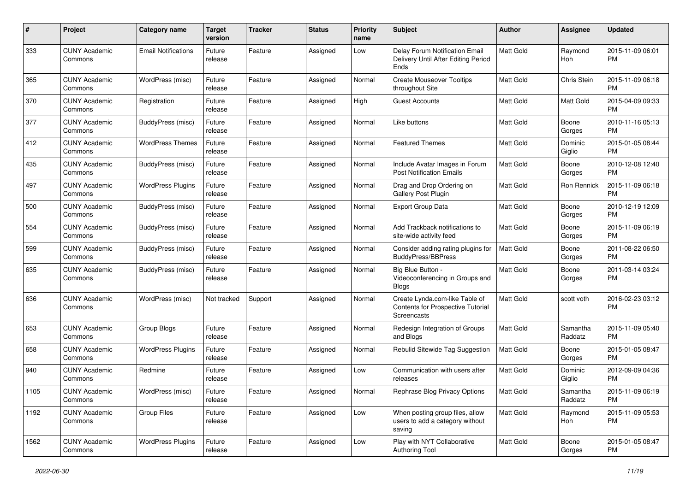| #    | Project                         | <b>Category name</b>       | <b>Target</b><br>version | <b>Tracker</b> | <b>Status</b> | Priority<br>name | <b>Subject</b>                                                                     | Author           | <b>Assignee</b>     | <b>Updated</b>                |
|------|---------------------------------|----------------------------|--------------------------|----------------|---------------|------------------|------------------------------------------------------------------------------------|------------------|---------------------|-------------------------------|
| 333  | <b>CUNY Academic</b><br>Commons | <b>Email Notifications</b> | Future<br>release        | Feature        | Assigned      | Low              | Delay Forum Notification Email<br>Delivery Until After Editing Period<br>Ends      | <b>Matt Gold</b> | Raymond<br>Hoh      | 2015-11-09 06:01<br><b>PM</b> |
| 365  | <b>CUNY Academic</b><br>Commons | WordPress (misc)           | Future<br>release        | Feature        | Assigned      | Normal           | <b>Create Mouseover Tooltips</b><br>throughout Site                                | <b>Matt Gold</b> | Chris Stein         | 2015-11-09 06:18<br><b>PM</b> |
| 370  | <b>CUNY Academic</b><br>Commons | Registration               | Future<br>release        | Feature        | Assigned      | High             | <b>Guest Accounts</b>                                                              | <b>Matt Gold</b> | Matt Gold           | 2015-04-09 09:33<br><b>PM</b> |
| 377  | <b>CUNY Academic</b><br>Commons | BuddyPress (misc)          | Future<br>release        | Feature        | Assigned      | Normal           | Like buttons                                                                       | Matt Gold        | Boone<br>Gorges     | 2010-11-16 05:13<br><b>PM</b> |
| 412  | <b>CUNY Academic</b><br>Commons | <b>WordPress Themes</b>    | Future<br>release        | Feature        | Assigned      | Normal           | <b>Featured Themes</b>                                                             | Matt Gold        | Dominic<br>Giglio   | 2015-01-05 08:44<br><b>PM</b> |
| 435  | <b>CUNY Academic</b><br>Commons | BuddyPress (misc)          | Future<br>release        | Feature        | Assigned      | Normal           | Include Avatar Images in Forum<br><b>Post Notification Emails</b>                  | <b>Matt Gold</b> | Boone<br>Gorges     | 2010-12-08 12:40<br><b>PM</b> |
| 497  | <b>CUNY Academic</b><br>Commons | <b>WordPress Plugins</b>   | Future<br>release        | Feature        | Assigned      | Normal           | Drag and Drop Ordering on<br>Gallery Post Plugin                                   | Matt Gold        | Ron Rennick         | 2015-11-09 06:18<br><b>PM</b> |
| 500  | <b>CUNY Academic</b><br>Commons | BuddyPress (misc)          | Future<br>release        | Feature        | Assigned      | Normal           | <b>Export Group Data</b>                                                           | <b>Matt Gold</b> | Boone<br>Gorges     | 2010-12-19 12:09<br><b>PM</b> |
| 554  | <b>CUNY Academic</b><br>Commons | BuddyPress (misc)          | Future<br>release        | Feature        | Assigned      | Normal           | Add Trackback notifications to<br>site-wide activity feed                          | <b>Matt Gold</b> | Boone<br>Gorges     | 2015-11-09 06:19<br>PM        |
| 599  | <b>CUNY Academic</b><br>Commons | BuddyPress (misc)          | Future<br>release        | Feature        | Assigned      | Normal           | Consider adding rating plugins for<br><b>BuddyPress/BBPress</b>                    | <b>Matt Gold</b> | Boone<br>Gorges     | 2011-08-22 06:50<br><b>PM</b> |
| 635  | <b>CUNY Academic</b><br>Commons | BuddyPress (misc)          | Future<br>release        | Feature        | Assigned      | Normal           | Big Blue Button -<br>Videoconferencing in Groups and<br><b>Blogs</b>               | Matt Gold        | Boone<br>Gorges     | 2011-03-14 03:24<br><b>PM</b> |
| 636  | <b>CUNY Academic</b><br>Commons | WordPress (misc)           | Not tracked              | Support        | Assigned      | Normal           | Create Lynda.com-like Table of<br>Contents for Prospective Tutorial<br>Screencasts | <b>Matt Gold</b> | scott voth          | 2016-02-23 03:12<br><b>PM</b> |
| 653  | <b>CUNY Academic</b><br>Commons | Group Blogs                | Future<br>release        | Feature        | Assigned      | Normal           | Redesign Integration of Groups<br>and Blogs                                        | Matt Gold        | Samantha<br>Raddatz | 2015-11-09 05:40<br><b>PM</b> |
| 658  | <b>CUNY Academic</b><br>Commons | <b>WordPress Plugins</b>   | Future<br>release        | Feature        | Assigned      | Normal           | Rebulid Sitewide Tag Suggestion                                                    | <b>Matt Gold</b> | Boone<br>Gorges     | 2015-01-05 08:47<br><b>PM</b> |
| 940  | <b>CUNY Academic</b><br>Commons | Redmine                    | Future<br>release        | Feature        | Assigned      | Low              | Communication with users after<br>releases                                         | <b>Matt Gold</b> | Dominic<br>Giglio   | 2012-09-09 04:36<br><b>PM</b> |
| 1105 | <b>CUNY Academic</b><br>Commons | WordPress (misc)           | Future<br>release        | Feature        | Assigned      | Normal           | Rephrase Blog Privacy Options                                                      | Matt Gold        | Samantha<br>Raddatz | 2015-11-09 06:19<br><b>PM</b> |
| 1192 | <b>CUNY Academic</b><br>Commons | Group Files                | Future<br>release        | Feature        | Assigned      | Low              | When posting group files, allow<br>users to add a category without<br>saving       | Matt Gold        | Raymond<br>Hoh      | 2015-11-09 05:53<br>PM.       |
| 1562 | <b>CUNY Academic</b><br>Commons | <b>WordPress Plugins</b>   | Future<br>release        | Feature        | Assigned      | Low              | Play with NYT Collaborative<br>Authoring Tool                                      | Matt Gold        | Boone<br>Gorges     | 2015-01-05 08:47<br><b>PM</b> |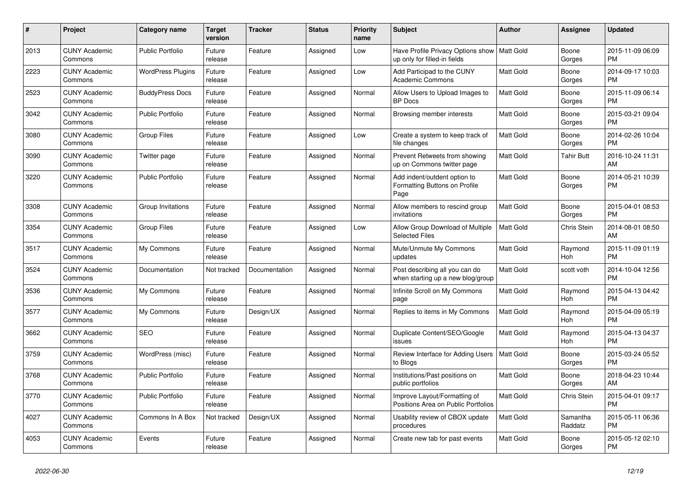| #    | <b>Project</b>                  | Category name            | <b>Target</b><br>version | <b>Tracker</b> | <b>Status</b> | <b>Priority</b><br>name | <b>Subject</b>                                                                | <b>Author</b>    | Assignee            | <b>Updated</b>                |
|------|---------------------------------|--------------------------|--------------------------|----------------|---------------|-------------------------|-------------------------------------------------------------------------------|------------------|---------------------|-------------------------------|
| 2013 | <b>CUNY Academic</b><br>Commons | <b>Public Portfolio</b>  | Future<br>release        | Feature        | Assigned      | Low                     | Have Profile Privacy Options show   Matt Gold<br>up only for filled-in fields |                  | Boone<br>Gorges     | 2015-11-09 06:09<br><b>PM</b> |
| 2223 | <b>CUNY Academic</b><br>Commons | <b>WordPress Plugins</b> | Future<br>release        | Feature        | Assigned      | Low                     | Add Participad to the CUNY<br><b>Academic Commons</b>                         | Matt Gold        | Boone<br>Gorges     | 2014-09-17 10:03<br><b>PM</b> |
| 2523 | <b>CUNY Academic</b><br>Commons | <b>BuddyPress Docs</b>   | Future<br>release        | Feature        | Assigned      | Normal                  | Allow Users to Upload Images to<br><b>BP</b> Docs                             | Matt Gold        | Boone<br>Gorges     | 2015-11-09 06:14<br><b>PM</b> |
| 3042 | <b>CUNY Academic</b><br>Commons | <b>Public Portfolio</b>  | Future<br>release        | Feature        | Assigned      | Normal                  | Browsing member interests                                                     | <b>Matt Gold</b> | Boone<br>Gorges     | 2015-03-21 09:04<br><b>PM</b> |
| 3080 | <b>CUNY Academic</b><br>Commons | <b>Group Files</b>       | Future<br>release        | Feature        | Assigned      | Low                     | Create a system to keep track of<br>file changes                              | Matt Gold        | Boone<br>Gorges     | 2014-02-26 10:04<br><b>PM</b> |
| 3090 | <b>CUNY Academic</b><br>Commons | Twitter page             | Future<br>release        | Feature        | Assigned      | Normal                  | Prevent Retweets from showing<br>up on Commons twitter page                   | Matt Gold        | Tahir Butt          | 2016-10-24 11:31<br>AM        |
| 3220 | <b>CUNY Academic</b><br>Commons | <b>Public Portfolio</b>  | Future<br>release        | Feature        | Assigned      | Normal                  | Add indent/outdent option to<br>Formatting Buttons on Profile<br>Page         | <b>Matt Gold</b> | Boone<br>Gorges     | 2014-05-21 10:39<br><b>PM</b> |
| 3308 | <b>CUNY Academic</b><br>Commons | Group Invitations        | Future<br>release        | Feature        | Assigned      | Normal                  | Allow members to rescind group<br>invitations                                 | Matt Gold        | Boone<br>Gorges     | 2015-04-01 08:53<br><b>PM</b> |
| 3354 | <b>CUNY Academic</b><br>Commons | <b>Group Files</b>       | Future<br>release        | Feature        | Assigned      | Low                     | Allow Group Download of Multiple<br><b>Selected Files</b>                     | Matt Gold        | Chris Stein         | 2014-08-01 08:50<br>AM        |
| 3517 | <b>CUNY Academic</b><br>Commons | My Commons               | Future<br>release        | Feature        | Assigned      | Normal                  | Mute/Unmute My Commons<br>updates                                             | <b>Matt Gold</b> | Raymond<br>Hoh      | 2015-11-09 01:19<br><b>PM</b> |
| 3524 | <b>CUNY Academic</b><br>Commons | Documentation            | Not tracked              | Documentation  | Assigned      | Normal                  | Post describing all you can do<br>when starting up a new blog/group           | Matt Gold        | scott voth          | 2014-10-04 12:56<br><b>PM</b> |
| 3536 | <b>CUNY Academic</b><br>Commons | My Commons               | Future<br>release        | Feature        | Assigned      | Normal                  | Infinite Scroll on My Commons<br>page                                         | Matt Gold        | Raymond<br>Hoh      | 2015-04-13 04:42<br><b>PM</b> |
| 3577 | <b>CUNY Academic</b><br>Commons | My Commons               | Future<br>release        | Design/UX      | Assigned      | Normal                  | Replies to items in My Commons                                                | <b>Matt Gold</b> | Raymond<br>Hoh      | 2015-04-09 05:19<br><b>PM</b> |
| 3662 | <b>CUNY Academic</b><br>Commons | <b>SEO</b>               | Future<br>release        | Feature        | Assigned      | Normal                  | Duplicate Content/SEO/Google<br>issues                                        | Matt Gold        | Raymond<br>Hoh      | 2015-04-13 04:37<br><b>PM</b> |
| 3759 | <b>CUNY Academic</b><br>Commons | WordPress (misc)         | Future<br>release        | Feature        | Assigned      | Normal                  | Review Interface for Adding Users<br>to Blogs                                 | <b>Matt Gold</b> | Boone<br>Gorges     | 2015-03-24 05:52<br><b>PM</b> |
| 3768 | <b>CUNY Academic</b><br>Commons | <b>Public Portfolio</b>  | Future<br>release        | Feature        | Assigned      | Normal                  | Institutions/Past positions on<br>public portfolios                           | Matt Gold        | Boone<br>Gorges     | 2018-04-23 10:44<br>AM        |
| 3770 | <b>CUNY Academic</b><br>Commons | <b>Public Portfolio</b>  | Future<br>release        | Feature        | Assigned      | Normal                  | Improve Layout/Formatting of<br>Positions Area on Public Portfolios           | <b>Matt Gold</b> | Chris Stein         | 2015-04-01 09:17<br><b>PM</b> |
| 4027 | <b>CUNY Academic</b><br>Commons | Commons In A Box         | Not tracked              | Design/UX      | Assigned      | Normal                  | Usability review of CBOX update<br>procedures                                 | <b>Matt Gold</b> | Samantha<br>Raddatz | 2015-05-11 06:36<br><b>PM</b> |
| 4053 | <b>CUNY Academic</b><br>Commons | Events                   | Future<br>release        | Feature        | Assigned      | Normal                  | Create new tab for past events                                                | Matt Gold        | Boone<br>Gorges     | 2015-05-12 02:10<br><b>PM</b> |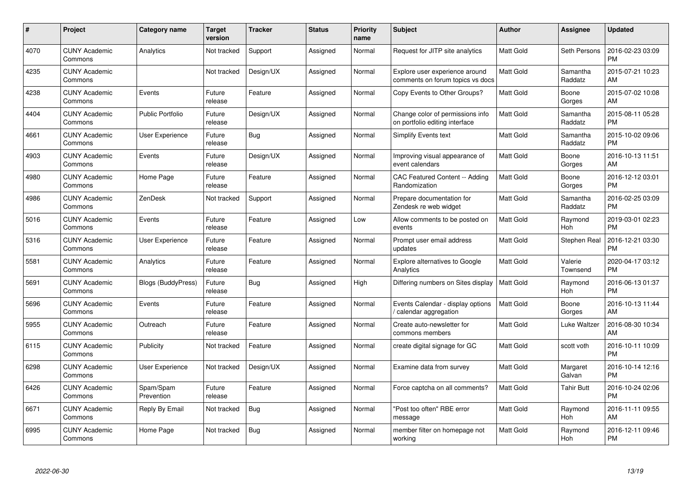| $\#$ | Project                         | <b>Category name</b>      | Target<br>version | <b>Tracker</b> | <b>Status</b> | Priority<br>name | <b>Subject</b>                                                     | <b>Author</b>    | <b>Assignee</b>     | <b>Updated</b>                |
|------|---------------------------------|---------------------------|-------------------|----------------|---------------|------------------|--------------------------------------------------------------------|------------------|---------------------|-------------------------------|
| 4070 | <b>CUNY Academic</b><br>Commons | Analytics                 | Not tracked       | Support        | Assigned      | Normal           | Request for JITP site analytics                                    | <b>Matt Gold</b> | Seth Persons        | 2016-02-23 03:09<br><b>PM</b> |
| 4235 | <b>CUNY Academic</b><br>Commons |                           | Not tracked       | Design/UX      | Assigned      | Normal           | Explore user experience around<br>comments on forum topics vs docs | <b>Matt Gold</b> | Samantha<br>Raddatz | 2015-07-21 10:23<br>AM        |
| 4238 | <b>CUNY Academic</b><br>Commons | Events                    | Future<br>release | Feature        | Assigned      | Normal           | Copy Events to Other Groups?                                       | Matt Gold        | Boone<br>Gorges     | 2015-07-02 10:08<br>AM        |
| 4404 | <b>CUNY Academic</b><br>Commons | <b>Public Portfolio</b>   | Future<br>release | Design/UX      | Assigned      | Normal           | Change color of permissions info<br>on portfolio editing interface | Matt Gold        | Samantha<br>Raddatz | 2015-08-11 05:28<br><b>PM</b> |
| 4661 | <b>CUNY Academic</b><br>Commons | User Experience           | Future<br>release | <b>Bug</b>     | Assigned      | Normal           | <b>Simplify Events text</b>                                        | Matt Gold        | Samantha<br>Raddatz | 2015-10-02 09:06<br><b>PM</b> |
| 4903 | <b>CUNY Academic</b><br>Commons | Events                    | Future<br>release | Design/UX      | Assigned      | Normal           | Improving visual appearance of<br>event calendars                  | <b>Matt Gold</b> | Boone<br>Gorges     | 2016-10-13 11:51<br>AM        |
| 4980 | <b>CUNY Academic</b><br>Commons | Home Page                 | Future<br>release | Feature        | Assigned      | Normal           | <b>CAC Featured Content -- Adding</b><br>Randomization             | <b>Matt Gold</b> | Boone<br>Gorges     | 2016-12-12 03:01<br><b>PM</b> |
| 4986 | <b>CUNY Academic</b><br>Commons | ZenDesk                   | Not tracked       | Support        | Assigned      | Normal           | Prepare documentation for<br>Zendesk re web widget                 | Matt Gold        | Samantha<br>Raddatz | 2016-02-25 03:09<br><b>PM</b> |
| 5016 | <b>CUNY Academic</b><br>Commons | Events                    | Future<br>release | Feature        | Assigned      | Low              | Allow comments to be posted on<br>events                           | <b>Matt Gold</b> | Raymond<br>Hoh      | 2019-03-01 02:23<br><b>PM</b> |
| 5316 | <b>CUNY Academic</b><br>Commons | <b>User Experience</b>    | Future<br>release | Feature        | Assigned      | Normal           | Prompt user email address<br>updates                               | <b>Matt Gold</b> | Stephen Real        | 2016-12-21 03:30<br><b>PM</b> |
| 5581 | <b>CUNY Academic</b><br>Commons | Analytics                 | Future<br>release | Feature        | Assigned      | Normal           | <b>Explore alternatives to Google</b><br>Analytics                 | Matt Gold        | Valerie<br>Townsend | 2020-04-17 03:12<br><b>PM</b> |
| 5691 | <b>CUNY Academic</b><br>Commons | <b>Blogs (BuddyPress)</b> | Future<br>release | Bug            | Assigned      | High             | Differing numbers on Sites display                                 | <b>Matt Gold</b> | Raymond<br>Hoh      | 2016-06-13 01:37<br><b>PM</b> |
| 5696 | <b>CUNY Academic</b><br>Commons | Events                    | Future<br>release | Feature        | Assigned      | Normal           | Events Calendar - display options<br>/ calendar aggregation        | <b>Matt Gold</b> | Boone<br>Gorges     | 2016-10-13 11:44<br>AM        |
| 5955 | <b>CUNY Academic</b><br>Commons | Outreach                  | Future<br>release | Feature        | Assigned      | Normal           | Create auto-newsletter for<br>commons members                      | Matt Gold        | Luke Waltzer        | 2016-08-30 10:34<br>AM        |
| 6115 | <b>CUNY Academic</b><br>Commons | Publicity                 | Not tracked       | Feature        | Assigned      | Normal           | create digital signage for GC                                      | Matt Gold        | scott voth          | 2016-10-11 10:09<br><b>PM</b> |
| 6298 | <b>CUNY Academic</b><br>Commons | User Experience           | Not tracked       | Design/UX      | Assigned      | Normal           | Examine data from survey                                           | <b>Matt Gold</b> | Margaret<br>Galvan  | 2016-10-14 12:16<br><b>PM</b> |
| 6426 | <b>CUNY Academic</b><br>Commons | Spam/Spam<br>Prevention   | Future<br>release | Feature        | Assigned      | Normal           | Force captcha on all comments?                                     | <b>Matt Gold</b> | <b>Tahir Butt</b>   | 2016-10-24 02:06<br><b>PM</b> |
| 6671 | <b>CUNY Academic</b><br>Commons | Reply By Email            | Not tracked       | Bug            | Assigned      | Normal           | "Post too often" RBE error<br>message                              | Matt Gold        | Raymond<br>Hoh      | 2016-11-11 09:55<br>AM        |
| 6995 | CUNY Academic<br>Commons        | Home Page                 | Not tracked       | <b>Bug</b>     | Assigned      | Normal           | member filter on homepage not<br>working                           | <b>Matt Gold</b> | Raymond<br>Hoh      | 2016-12-11 09:46<br><b>PM</b> |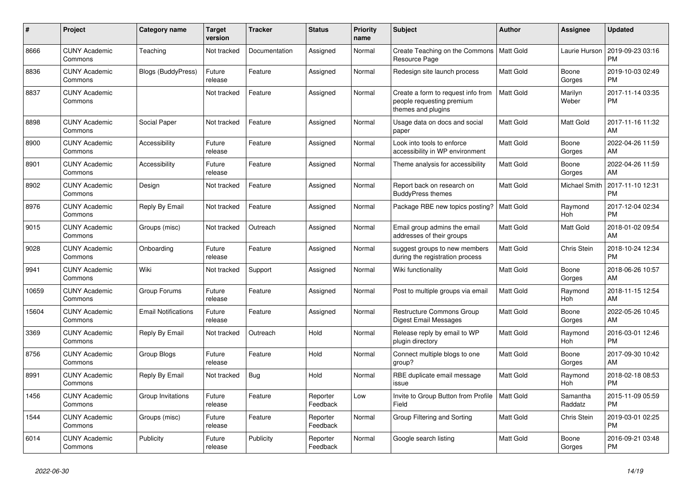| #     | <b>Project</b>                  | Category name              | <b>Target</b><br>version | <b>Tracker</b> | <b>Status</b>        | <b>Priority</b><br>name | <b>Subject</b>                                                                        | <b>Author</b>    | Assignee            | <b>Updated</b>                |
|-------|---------------------------------|----------------------------|--------------------------|----------------|----------------------|-------------------------|---------------------------------------------------------------------------------------|------------------|---------------------|-------------------------------|
| 8666  | <b>CUNY Academic</b><br>Commons | Teaching                   | Not tracked              | Documentation  | Assigned             | Normal                  | Create Teaching on the Commons<br><b>Resource Page</b>                                | Matt Gold        | Laurie Hurson       | 2019-09-23 03:16<br><b>PM</b> |
| 8836  | <b>CUNY Academic</b><br>Commons | Blogs (BuddyPress)         | Future<br>release        | Feature        | Assigned             | Normal                  | Redesign site launch process                                                          | <b>Matt Gold</b> | Boone<br>Gorges     | 2019-10-03 02:49<br><b>PM</b> |
| 8837  | <b>CUNY Academic</b><br>Commons |                            | Not tracked              | Feature        | Assigned             | Normal                  | Create a form to request info from<br>people requesting premium<br>themes and plugins | <b>Matt Gold</b> | Marilyn<br>Weber    | 2017-11-14 03:35<br><b>PM</b> |
| 8898  | <b>CUNY Academic</b><br>Commons | Social Paper               | Not tracked              | Feature        | Assigned             | Normal                  | Usage data on docs and social<br>paper                                                | <b>Matt Gold</b> | Matt Gold           | 2017-11-16 11:32<br>AM        |
| 8900  | <b>CUNY Academic</b><br>Commons | Accessibility              | Future<br>release        | Feature        | Assigned             | Normal                  | Look into tools to enforce<br>accessibility in WP environment                         | Matt Gold        | Boone<br>Gorges     | 2022-04-26 11:59<br>AM        |
| 8901  | <b>CUNY Academic</b><br>Commons | Accessibility              | Future<br>release        | Feature        | Assigned             | Normal                  | Theme analysis for accessibility                                                      | <b>Matt Gold</b> | Boone<br>Gorges     | 2022-04-26 11:59<br>AM        |
| 8902  | <b>CUNY Academic</b><br>Commons | Design                     | Not tracked              | Feature        | Assigned             | Normal                  | Report back on research on<br><b>BuddyPress themes</b>                                | <b>Matt Gold</b> | Michael Smith       | 2017-11-10 12:31<br><b>PM</b> |
| 8976  | <b>CUNY Academic</b><br>Commons | Reply By Email             | Not tracked              | Feature        | Assigned             | Normal                  | Package RBE new topics posting?   Matt Gold                                           |                  | Raymond<br>Hoh      | 2017-12-04 02:34<br><b>PM</b> |
| 9015  | <b>CUNY Academic</b><br>Commons | Groups (misc)              | Not tracked              | Outreach       | Assigned             | Normal                  | Email group admins the email<br>addresses of their groups                             | <b>Matt Gold</b> | Matt Gold           | 2018-01-02 09:54<br>AM        |
| 9028  | <b>CUNY Academic</b><br>Commons | Onboarding                 | Future<br>release        | Feature        | Assigned             | Normal                  | suggest groups to new members<br>during the registration process                      | <b>Matt Gold</b> | <b>Chris Stein</b>  | 2018-10-24 12:34<br><b>PM</b> |
| 9941  | <b>CUNY Academic</b><br>Commons | Wiki                       | Not tracked              | Support        | Assigned             | Normal                  | Wiki functionality                                                                    | <b>Matt Gold</b> | Boone<br>Gorges     | 2018-06-26 10:57<br>AM        |
| 10659 | <b>CUNY Academic</b><br>Commons | Group Forums               | Future<br>release        | Feature        | Assigned             | Normal                  | Post to multiple groups via email                                                     | <b>Matt Gold</b> | Raymond<br>Hoh      | 2018-11-15 12:54<br>AM        |
| 15604 | <b>CUNY Academic</b><br>Commons | <b>Email Notifications</b> | Future<br>release        | Feature        | Assigned             | Normal                  | <b>Restructure Commons Group</b><br>Digest Email Messages                             | <b>Matt Gold</b> | Boone<br>Gorges     | 2022-05-26 10:45<br>AM        |
| 3369  | <b>CUNY Academic</b><br>Commons | Reply By Email             | Not tracked              | Outreach       | Hold                 | Normal                  | Release reply by email to WP<br>plugin directory                                      | <b>Matt Gold</b> | Raymond<br>Hoh      | 2016-03-01 12:46<br><b>PM</b> |
| 8756  | <b>CUNY Academic</b><br>Commons | Group Blogs                | Future<br>release        | Feature        | Hold                 | Normal                  | Connect multiple blogs to one<br>group?                                               | <b>Matt Gold</b> | Boone<br>Gorges     | 2017-09-30 10:42<br>AM        |
| 8991  | <b>CUNY Academic</b><br>Commons | Reply By Email             | Not tracked              | Bug            | Hold                 | Normal                  | RBE duplicate email message<br>issue                                                  | <b>Matt Gold</b> | Raymond<br>Hoh      | 2018-02-18 08:53<br><b>PM</b> |
| 1456  | <b>CUNY Academic</b><br>Commons | Group Invitations          | Future<br>release        | Feature        | Reporter<br>Feedback | Low                     | Invite to Group Button from Profile<br>Field                                          | Matt Gold        | Samantha<br>Raddatz | 2015-11-09 05:59<br><b>PM</b> |
| 1544  | <b>CUNY Academic</b><br>Commons | Groups (misc)              | Future<br>release        | Feature        | Reporter<br>Feedback | Normal                  | Group Filtering and Sorting                                                           | <b>Matt Gold</b> | Chris Stein         | 2019-03-01 02:25<br><b>PM</b> |
| 6014  | <b>CUNY Academic</b><br>Commons | Publicity                  | Future<br>release        | Publicity      | Reporter<br>Feedback | Normal                  | Google search listing                                                                 | <b>Matt Gold</b> | Boone<br>Gorges     | 2016-09-21 03:48<br><b>PM</b> |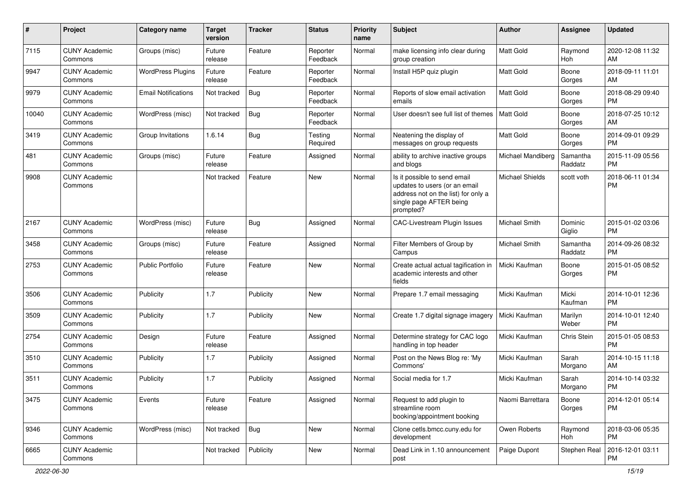| #     | Project                         | <b>Category name</b>       | <b>Target</b><br>version | <b>Tracker</b> | <b>Status</b>        | Priority<br>name | <b>Subject</b>                                                                                                                               | Author                 | <b>Assignee</b>     | <b>Updated</b>                |
|-------|---------------------------------|----------------------------|--------------------------|----------------|----------------------|------------------|----------------------------------------------------------------------------------------------------------------------------------------------|------------------------|---------------------|-------------------------------|
| 7115  | <b>CUNY Academic</b><br>Commons | Groups (misc)              | Future<br>release        | Feature        | Reporter<br>Feedback | Normal           | make licensing info clear during<br>group creation                                                                                           | <b>Matt Gold</b>       | Raymond<br>Hoh      | 2020-12-08 11:32<br>AM        |
| 9947  | <b>CUNY Academic</b><br>Commons | <b>WordPress Plugins</b>   | Future<br>release        | Feature        | Reporter<br>Feedback | Normal           | Install H5P quiz plugin                                                                                                                      | <b>Matt Gold</b>       | Boone<br>Gorges     | 2018-09-11 11:01<br>AM        |
| 9979  | <b>CUNY Academic</b><br>Commons | <b>Email Notifications</b> | Not tracked              | Bug            | Reporter<br>Feedback | Normal           | Reports of slow email activation<br>emails                                                                                                   | Matt Gold              | Boone<br>Gorges     | 2018-08-29 09:40<br><b>PM</b> |
| 10040 | <b>CUNY Academic</b><br>Commons | WordPress (misc)           | Not tracked              | Bug            | Reporter<br>Feedback | Normal           | User doesn't see full list of themes                                                                                                         | <b>Matt Gold</b>       | Boone<br>Gorges     | 2018-07-25 10:12<br>AM        |
| 3419  | <b>CUNY Academic</b><br>Commons | Group Invitations          | 1.6.14                   | Bug            | Testing<br>Required  | Normal           | Neatening the display of<br>messages on group requests                                                                                       | <b>Matt Gold</b>       | Boone<br>Gorges     | 2014-09-01 09:29<br><b>PM</b> |
| 481   | <b>CUNY Academic</b><br>Commons | Groups (misc)              | Future<br>release        | Feature        | Assigned             | Normal           | ability to archive inactive groups<br>and blogs                                                                                              | Michael Mandiberg      | Samantha<br>Raddatz | 2015-11-09 05:56<br><b>PM</b> |
| 9908  | <b>CUNY Academic</b><br>Commons |                            | Not tracked              | Feature        | New                  | Normal           | Is it possible to send email<br>updates to users (or an email<br>address not on the list) for only a<br>single page AFTER being<br>prompted? | <b>Michael Shields</b> | scott voth          | 2018-06-11 01:34<br><b>PM</b> |
| 2167  | <b>CUNY Academic</b><br>Commons | WordPress (misc)           | Future<br>release        | Bug            | Assigned             | Normal           | <b>CAC-Livestream Plugin Issues</b>                                                                                                          | Michael Smith          | Dominic<br>Giglio   | 2015-01-02 03:06<br><b>PM</b> |
| 3458  | <b>CUNY Academic</b><br>Commons | Groups (misc)              | Future<br>release        | Feature        | Assigned             | Normal           | Filter Members of Group by<br>Campus                                                                                                         | <b>Michael Smith</b>   | Samantha<br>Raddatz | 2014-09-26 08:32<br><b>PM</b> |
| 2753  | <b>CUNY Academic</b><br>Commons | <b>Public Portfolio</b>    | Future<br>release        | Feature        | <b>New</b>           | Normal           | Create actual actual tagification in<br>academic interests and other<br>fields                                                               | Micki Kaufman          | Boone<br>Gorges     | 2015-01-05 08:52<br><b>PM</b> |
| 3506  | <b>CUNY Academic</b><br>Commons | Publicity                  | 1.7                      | Publicity      | New                  | Normal           | Prepare 1.7 email messaging                                                                                                                  | Micki Kaufman          | Micki<br>Kaufman    | 2014-10-01 12:36<br><b>PM</b> |
| 3509  | <b>CUNY Academic</b><br>Commons | Publicity                  | 1.7                      | Publicity      | New                  | Normal           | Create 1.7 digital signage imagery                                                                                                           | Micki Kaufman          | Marilyn<br>Weber    | 2014-10-01 12:40<br><b>PM</b> |
| 2754  | <b>CUNY Academic</b><br>Commons | Design                     | Future<br>release        | Feature        | Assigned             | Normal           | Determine strategy for CAC logo<br>handling in top header                                                                                    | Micki Kaufman          | Chris Stein         | 2015-01-05 08:53<br><b>PM</b> |
| 3510  | <b>CUNY Academic</b><br>Commons | Publicity                  | 1.7                      | Publicity      | Assigned             | Normal           | Post on the News Blog re: 'My<br>Commons'                                                                                                    | Micki Kaufman          | Sarah<br>Morgano    | 2014-10-15 11:18<br>AM        |
| 3511  | <b>CUNY Academic</b><br>Commons | Publicity                  | 1.7                      | Publicity      | Assigned             | Normal           | Social media for 1.7                                                                                                                         | Micki Kaufman          | Sarah<br>Morgano    | 2014-10-14 03:32<br><b>PM</b> |
| 3475  | <b>CUNY Academic</b><br>Commons | Events                     | Future<br>release        | Feature        | Assigned             | Normal           | Request to add plugin to<br>streamline room<br>booking/appointment booking                                                                   | Naomi Barrettara       | Boone<br>Gorges     | 2014-12-01 05:14<br><b>PM</b> |
| 9346  | <b>CUNY Academic</b><br>Commons | WordPress (misc)           | Not tracked              | <b>Bug</b>     | New                  | Normal           | Clone cetls.bmcc.cuny.edu for<br>development                                                                                                 | Owen Roberts           | Raymond<br>Hoh      | 2018-03-06 05:35<br><b>PM</b> |
| 6665  | <b>CUNY Academic</b><br>Commons |                            | Not tracked              | Publicity      | New                  | Normal           | Dead Link in 1.10 announcement<br>post                                                                                                       | Paige Dupont           | Stephen Real        | 2016-12-01 03:11<br>PM        |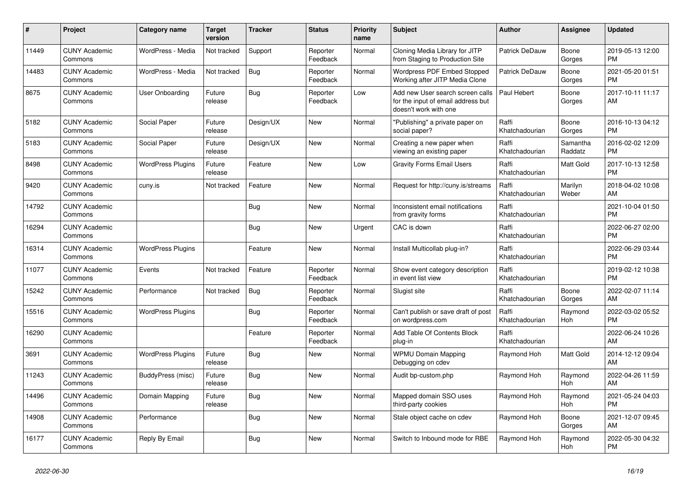| #     | <b>Project</b>                  | <b>Category name</b>     | <b>Target</b><br>version | <b>Tracker</b> | <b>Status</b>        | <b>Priority</b><br>name | <b>Subject</b>                                                                                  | <b>Author</b>           | Assignee            | <b>Updated</b>                |
|-------|---------------------------------|--------------------------|--------------------------|----------------|----------------------|-------------------------|-------------------------------------------------------------------------------------------------|-------------------------|---------------------|-------------------------------|
| 11449 | <b>CUNY Academic</b><br>Commons | WordPress - Media        | Not tracked              | Support        | Reporter<br>Feedback | Normal                  | Cloning Media Library for JITP<br>from Staging to Production Site                               | <b>Patrick DeDauw</b>   | Boone<br>Gorges     | 2019-05-13 12:00<br><b>PM</b> |
| 14483 | <b>CUNY Academic</b><br>Commons | WordPress - Media        | Not tracked              | Bug            | Reporter<br>Feedback | Normal                  | <b>Wordpress PDF Embed Stopped</b><br>Working after JITP Media Clone                            | Patrick DeDauw          | Boone<br>Gorges     | 2021-05-20 01:51<br><b>PM</b> |
| 8675  | <b>CUNY Academic</b><br>Commons | <b>User Onboarding</b>   | Future<br>release        | <b>Bug</b>     | Reporter<br>Feedback | Low                     | Add new User search screen calls<br>for the input of email address but<br>doesn't work with one | Paul Hebert             | Boone<br>Gorges     | 2017-10-11 11:17<br><b>AM</b> |
| 5182  | <b>CUNY Academic</b><br>Commons | Social Paper             | Future<br>release        | Design/UX      | <b>New</b>           | Normal                  | "Publishing" a private paper on<br>social paper?                                                | Raffi<br>Khatchadourian | Boone<br>Gorges     | 2016-10-13 04:12<br><b>PM</b> |
| 5183  | <b>CUNY Academic</b><br>Commons | Social Paper             | Future<br>release        | Design/UX      | <b>New</b>           | Normal                  | Creating a new paper when<br>viewing an existing paper                                          | Raffi<br>Khatchadourian | Samantha<br>Raddatz | 2016-02-02 12:09<br><b>PM</b> |
| 8498  | <b>CUNY Academic</b><br>Commons | <b>WordPress Plugins</b> | Future<br>release        | Feature        | <b>New</b>           | Low                     | <b>Gravity Forms Email Users</b>                                                                | Raffi<br>Khatchadourian | Matt Gold           | 2017-10-13 12:58<br><b>PM</b> |
| 9420  | <b>CUNY Academic</b><br>Commons | cuny.is                  | Not tracked              | Feature        | <b>New</b>           | Normal                  | Request for http://cuny.is/streams                                                              | Raffi<br>Khatchadourian | Marilyn<br>Weber    | 2018-04-02 10:08<br>AM        |
| 14792 | <b>CUNY Academic</b><br>Commons |                          |                          | Bug            | <b>New</b>           | Normal                  | Inconsistent email notifications<br>from gravity forms                                          | Raffi<br>Khatchadourian |                     | 2021-10-04 01:50<br><b>PM</b> |
| 16294 | <b>CUNY Academic</b><br>Commons |                          |                          | Bug            | <b>New</b>           | Urgent                  | CAC is down                                                                                     | Raffi<br>Khatchadourian |                     | 2022-06-27 02:00<br><b>PM</b> |
| 16314 | <b>CUNY Academic</b><br>Commons | <b>WordPress Plugins</b> |                          | Feature        | <b>New</b>           | Normal                  | Install Multicollab plug-in?                                                                    | Raffi<br>Khatchadourian |                     | 2022-06-29 03:44<br><b>PM</b> |
| 11077 | <b>CUNY Academic</b><br>Commons | Events                   | Not tracked              | Feature        | Reporter<br>Feedback | Normal                  | Show event category description<br>in event list view                                           | Raffi<br>Khatchadourian |                     | 2019-02-12 10:38<br><b>PM</b> |
| 15242 | <b>CUNY Academic</b><br>Commons | Performance              | Not tracked              | Bug            | Reporter<br>Feedback | Normal                  | Slugist site                                                                                    | Raffi<br>Khatchadourian | Boone<br>Gorges     | 2022-02-07 11:14<br>AM        |
| 15516 | <b>CUNY Academic</b><br>Commons | <b>WordPress Plugins</b> |                          | <b>Bug</b>     | Reporter<br>Feedback | Normal                  | Can't publish or save draft of post<br>on wordpress.com                                         | Raffi<br>Khatchadourian | Raymond<br>Hoh      | 2022-03-02 05:52<br><b>PM</b> |
| 16290 | <b>CUNY Academic</b><br>Commons |                          |                          | Feature        | Reporter<br>Feedback | Normal                  | Add Table Of Contents Block<br>plug-in                                                          | Raffi<br>Khatchadourian |                     | 2022-06-24 10:26<br>AM        |
| 3691  | <b>CUNY Academic</b><br>Commons | <b>WordPress Plugins</b> | Future<br>release        | Bug            | <b>New</b>           | Normal                  | <b>WPMU Domain Mapping</b><br>Debugging on cdev                                                 | Raymond Hoh             | Matt Gold           | 2014-12-12 09:04<br>AM        |
| 11243 | <b>CUNY Academic</b><br>Commons | BuddyPress (misc)        | Future<br>release        | <b>Bug</b>     | New                  | Normal                  | Audit bp-custom.php                                                                             | Raymond Hoh             | Raymond<br>Hoh      | 2022-04-26 11:59<br><b>AM</b> |
| 14496 | <b>CUNY Academic</b><br>Commons | Domain Mapping           | Future<br>release        | Bug            | <b>New</b>           | Normal                  | Mapped domain SSO uses<br>third-party cookies                                                   | Raymond Hoh             | Raymond<br>Hoh      | 2021-05-24 04:03<br><b>PM</b> |
| 14908 | <b>CUNY Academic</b><br>Commons | Performance              |                          | Bug            | New                  | Normal                  | Stale object cache on cdev                                                                      | Raymond Hoh             | Boone<br>Gorges     | 2021-12-07 09:45<br>AM        |
| 16177 | <b>CUNY Academic</b><br>Commons | Reply By Email           |                          | Bug            | <b>New</b>           | Normal                  | Switch to Inbound mode for RBE                                                                  | Raymond Hoh             | Raymond<br>Hoh      | 2022-05-30 04:32<br><b>PM</b> |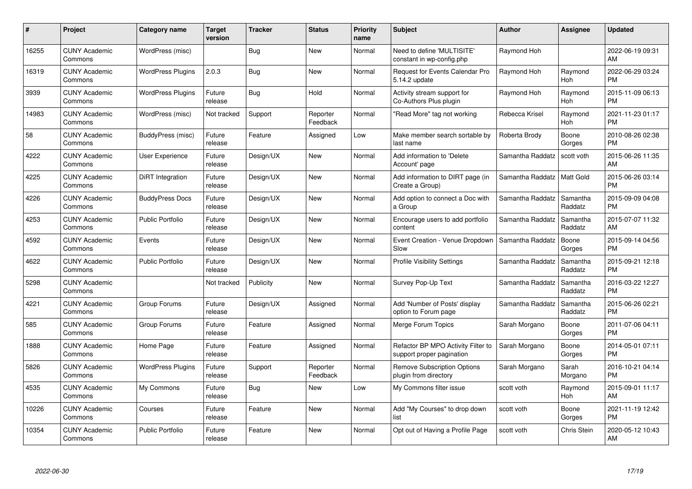| $\#$  | Project                         | <b>Category name</b>     | <b>Target</b><br>version | <b>Tracker</b> | <b>Status</b>        | Priority<br>name | <b>Subject</b>                                                  | <b>Author</b>    | <b>Assignee</b>     | <b>Updated</b>                |
|-------|---------------------------------|--------------------------|--------------------------|----------------|----------------------|------------------|-----------------------------------------------------------------|------------------|---------------------|-------------------------------|
| 16255 | <b>CUNY Academic</b><br>Commons | WordPress (misc)         |                          | Bug            | <b>New</b>           | Normal           | Need to define 'MULTISITE'<br>constant in wp-config.php         | Raymond Hoh      |                     | 2022-06-19 09:31<br>AM        |
| 16319 | <b>CUNY Academic</b><br>Commons | <b>WordPress Plugins</b> | 2.0.3                    | Bug            | <b>New</b>           | Normal           | <b>Request for Events Calendar Pro</b><br>5.14.2 update         | Raymond Hoh      | Raymond<br>Hoh      | 2022-06-29 03:24<br><b>PM</b> |
| 3939  | <b>CUNY Academic</b><br>Commons | <b>WordPress Plugins</b> | Future<br>release        | Bug            | Hold                 | Normal           | Activity stream support for<br>Co-Authors Plus plugin           | Raymond Hoh      | Raymond<br>Hoh      | 2015-11-09 06:13<br><b>PM</b> |
| 14983 | <b>CUNY Academic</b><br>Commons | WordPress (misc)         | Not tracked              | Support        | Reporter<br>Feedback | Normal           | "Read More" tag not working                                     | Rebecca Krisel   | Raymond<br>Hoh      | 2021-11-23 01:17<br><b>PM</b> |
| 58    | <b>CUNY Academic</b><br>Commons | BuddyPress (misc)        | Future<br>release        | Feature        | Assigned             | Low              | Make member search sortable by<br>last name                     | Roberta Brody    | Boone<br>Gorges     | 2010-08-26 02:38<br><b>PM</b> |
| 4222  | <b>CUNY Academic</b><br>Commons | <b>User Experience</b>   | Future<br>release        | Design/UX      | <b>New</b>           | Normal           | Add information to 'Delete<br>Account' page                     | Samantha Raddatz | scott voth          | 2015-06-26 11:35<br>AM        |
| 4225  | <b>CUNY Academic</b><br>Commons | DiRT Integration         | Future<br>release        | Design/UX      | <b>New</b>           | Normal           | Add information to DIRT page (in<br>Create a Group)             | Samantha Raddatz | Matt Gold           | 2015-06-26 03:14<br><b>PM</b> |
| 4226  | <b>CUNY Academic</b><br>Commons | <b>BuddyPress Docs</b>   | Future<br>release        | Design/UX      | <b>New</b>           | Normal           | Add option to connect a Doc with<br>a Group                     | Samantha Raddatz | Samantha<br>Raddatz | 2015-09-09 04:08<br><b>PM</b> |
| 4253  | <b>CUNY Academic</b><br>Commons | <b>Public Portfolio</b>  | Future<br>release        | Design/UX      | New                  | Normal           | Encourage users to add portfolio<br>content                     | Samantha Raddatz | Samantha<br>Raddatz | 2015-07-07 11:32<br>AM        |
| 4592  | <b>CUNY Academic</b><br>Commons | Events                   | Future<br>release        | Design/UX      | New                  | Normal           | Event Creation - Venue Dropdown<br>Slow                         | Samantha Raddatz | Boone<br>Gorges     | 2015-09-14 04:56<br><b>PM</b> |
| 4622  | <b>CUNY Academic</b><br>Commons | Public Portfolio         | Future<br>release        | Design/UX      | New                  | Normal           | <b>Profile Visibility Settings</b>                              | Samantha Raddatz | Samantha<br>Raddatz | 2015-09-21 12:18<br><b>PM</b> |
| 5298  | <b>CUNY Academic</b><br>Commons |                          | Not tracked              | Publicity      | New                  | Normal           | Survey Pop-Up Text                                              | Samantha Raddatz | Samantha<br>Raddatz | 2016-03-22 12:27<br><b>PM</b> |
| 4221  | <b>CUNY Academic</b><br>Commons | Group Forums             | Future<br>release        | Design/UX      | Assigned             | Normal           | Add 'Number of Posts' display<br>option to Forum page           | Samantha Raddatz | Samantha<br>Raddatz | 2015-06-26 02:21<br><b>PM</b> |
| 585   | <b>CUNY Academic</b><br>Commons | Group Forums             | Future<br>release        | Feature        | Assigned             | Normal           | Merge Forum Topics                                              | Sarah Morgano    | Boone<br>Gorges     | 2011-07-06 04:11<br><b>PM</b> |
| 1888  | <b>CUNY Academic</b><br>Commons | Home Page                | Future<br>release        | Feature        | Assigned             | Normal           | Refactor BP MPO Activity Filter to<br>support proper pagination | Sarah Morgano    | Boone<br>Gorges     | 2014-05-01 07:11<br><b>PM</b> |
| 5826  | <b>CUNY Academic</b><br>Commons | <b>WordPress Plugins</b> | Future<br>release        | Support        | Reporter<br>Feedback | Normal           | <b>Remove Subscription Options</b><br>plugin from directory     | Sarah Morgano    | Sarah<br>Morgano    | 2016-10-21 04:14<br><b>PM</b> |
| 4535  | <b>CUNY Academic</b><br>Commons | My Commons               | Future<br>release        | Bug            | New                  | Low              | My Commons filter issue                                         | scott voth       | Raymond<br>Hoh      | 2015-09-01 11:17<br>AM        |
| 10226 | <b>CUNY Academic</b><br>Commons | Courses                  | Future<br>release        | Feature        | New                  | Normal           | Add "My Courses" to drop down<br>list                           | scott voth       | Boone<br>Gorges     | 2021-11-19 12:42<br><b>PM</b> |
| 10354 | CUNY Academic<br>Commons        | <b>Public Portfolio</b>  | Future<br>release        | Feature        | <b>New</b>           | Normal           | Opt out of Having a Profile Page                                | scott voth       | <b>Chris Stein</b>  | 2020-05-12 10:43<br>AM        |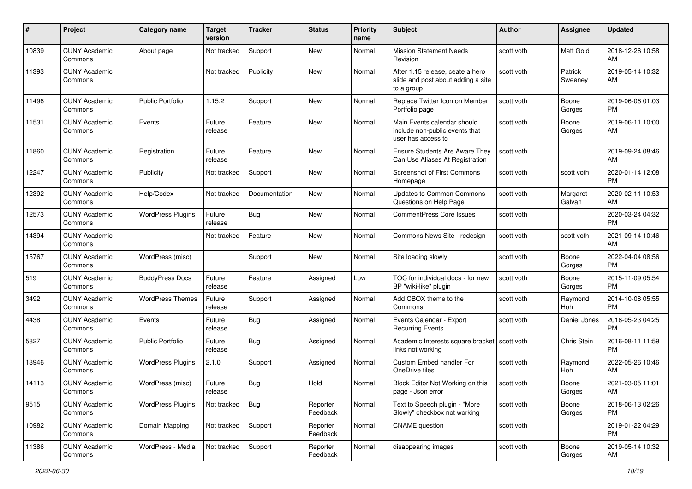| #     | Project                         | <b>Category name</b>     | <b>Target</b><br>version | <b>Tracker</b> | <b>Status</b>        | <b>Priority</b><br>name | <b>Subject</b>                                                                       | Author     | Assignee           | <b>Updated</b>                |
|-------|---------------------------------|--------------------------|--------------------------|----------------|----------------------|-------------------------|--------------------------------------------------------------------------------------|------------|--------------------|-------------------------------|
| 10839 | <b>CUNY Academic</b><br>Commons | About page               | Not tracked              | Support        | New                  | Normal                  | <b>Mission Statement Needs</b><br>Revision                                           | scott voth | Matt Gold          | 2018-12-26 10:58<br>AM        |
| 11393 | <b>CUNY Academic</b><br>Commons |                          | Not tracked              | Publicity      | New                  | Normal                  | After 1.15 release, ceate a hero<br>slide and post about adding a site<br>to a group | scott voth | Patrick<br>Sweeney | 2019-05-14 10:32<br>AM        |
| 11496 | <b>CUNY Academic</b><br>Commons | <b>Public Portfolio</b>  | 1.15.2                   | Support        | New                  | Normal                  | Replace Twitter Icon on Member<br>Portfolio page                                     | scott voth | Boone<br>Gorges    | 2019-06-06 01:03<br>PM        |
| 11531 | <b>CUNY Academic</b><br>Commons | Events                   | Future<br>release        | Feature        | New                  | Normal                  | Main Events calendar should<br>include non-public events that<br>user has access to  | scott voth | Boone<br>Gorges    | 2019-06-11 10:00<br>AM        |
| 11860 | <b>CUNY Academic</b><br>Commons | Registration             | Future<br>release        | Feature        | New                  | Normal                  | Ensure Students Are Aware They<br>Can Use Aliases At Registration                    | scott voth |                    | 2019-09-24 08:46<br>AM        |
| 12247 | <b>CUNY Academic</b><br>Commons | Publicity                | Not tracked              | Support        | New                  | Normal                  | <b>Screenshot of First Commons</b><br>Homepage                                       | scott voth | scott voth         | 2020-01-14 12:08<br><b>PM</b> |
| 12392 | <b>CUNY Academic</b><br>Commons | Help/Codex               | Not tracked              | Documentation  | <b>New</b>           | Normal                  | Updates to Common Commons<br>Questions on Help Page                                  | scott voth | Margaret<br>Galvan | 2020-02-11 10:53<br>AM        |
| 12573 | <b>CUNY Academic</b><br>Commons | <b>WordPress Plugins</b> | Future<br>release        | Bug            | New                  | Normal                  | <b>CommentPress Core Issues</b>                                                      | scott voth |                    | 2020-03-24 04:32<br><b>PM</b> |
| 14394 | <b>CUNY Academic</b><br>Commons |                          | Not tracked              | Feature        | New                  | Normal                  | Commons News Site - redesign                                                         | scott voth | scott voth         | 2021-09-14 10:46<br>AM        |
| 15767 | <b>CUNY Academic</b><br>Commons | WordPress (misc)         |                          | Support        | New                  | Normal                  | Site loading slowly                                                                  | scott voth | Boone<br>Gorges    | 2022-04-04 08:56<br>PM        |
| 519   | <b>CUNY Academic</b><br>Commons | <b>BuddyPress Docs</b>   | Future<br>release        | Feature        | Assigned             | Low                     | TOC for individual docs - for new<br>BP "wiki-like" plugin                           | scott voth | Boone<br>Gorges    | 2015-11-09 05:54<br><b>PM</b> |
| 3492  | <b>CUNY Academic</b><br>Commons | <b>WordPress Themes</b>  | Future<br>release        | Support        | Assigned             | Normal                  | Add CBOX theme to the<br>Commons                                                     | scott voth | Raymond<br>Hoh     | 2014-10-08 05:55<br><b>PM</b> |
| 4438  | <b>CUNY Academic</b><br>Commons | Events                   | Future<br>release        | Bug            | Assigned             | Normal                  | Events Calendar - Export<br><b>Recurring Events</b>                                  | scott voth | Daniel Jones       | 2016-05-23 04:25<br><b>PM</b> |
| 5827  | <b>CUNY Academic</b><br>Commons | <b>Public Portfolio</b>  | Future<br>release        | Bug            | Assigned             | Normal                  | Academic Interests square bracket   scott voth<br>links not working                  |            | Chris Stein        | 2016-08-11 11:59<br><b>PM</b> |
| 13946 | <b>CUNY Academic</b><br>Commons | <b>WordPress Plugins</b> | 2.1.0                    | Support        | Assigned             | Normal                  | Custom Embed handler For<br>OneDrive files                                           | scott voth | Raymond<br>Hoh     | 2022-05-26 10:46<br>AM        |
| 14113 | <b>CUNY Academic</b><br>Commons | WordPress (misc)         | Future<br>release        | Bug            | Hold                 | Normal                  | Block Editor Not Working on this<br>page - Json error                                | scott voth | Boone<br>Gorges    | 2021-03-05 11:01<br>AM        |
| 9515  | <b>CUNY Academic</b><br>Commons | <b>WordPress Plugins</b> | Not tracked              | Bug            | Reporter<br>Feedback | Normal                  | Text to Speech plugin - "More<br>Slowly" checkbox not working                        | scott voth | Boone<br>Gorges    | 2018-06-13 02:26<br>PM.       |
| 10982 | <b>CUNY Academic</b><br>Commons | Domain Mapping           | Not tracked              | Support        | Reporter<br>Feedback | Normal                  | <b>CNAME</b> question                                                                | scott voth |                    | 2019-01-22 04:29<br><b>PM</b> |
| 11386 | <b>CUNY Academic</b><br>Commons | WordPress - Media        | Not tracked              | Support        | Reporter<br>Feedback | Normal                  | disappearing images                                                                  | scott voth | Boone<br>Gorges    | 2019-05-14 10:32<br>AM        |